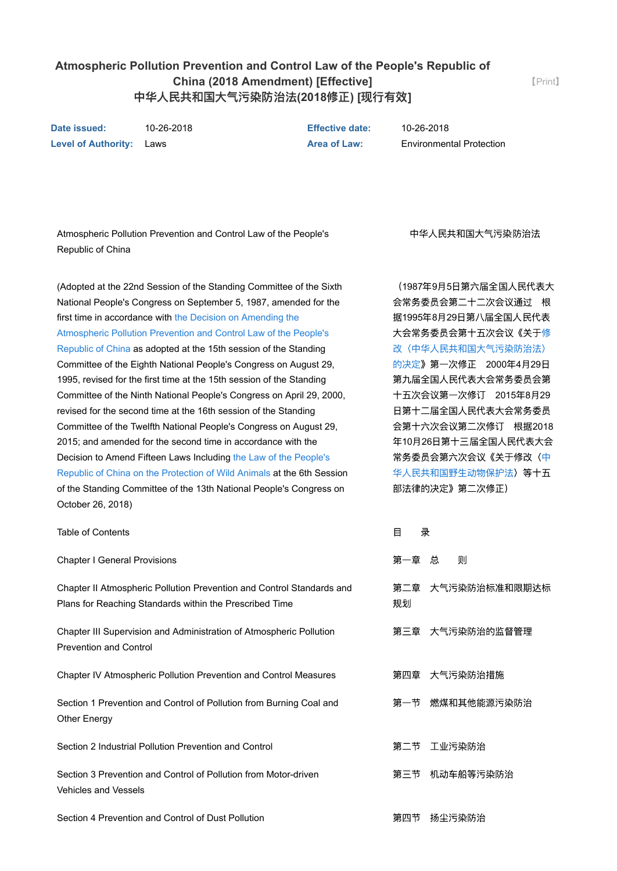## **Atmospheric Pollution Prevention and Control Law of the People's Republic of China (2018 Amendment) [Effective]** 中华人民共和国大气污染防治法**(2018**修正**) [**现行有效**]**

【[Print](javascript:window.print();)】

**Date issued:** 10262018 **Effective date:** 10262018 **Level of Authority:** Laws **Area of Law:** Environmental Protection

Atmospheric Pollution Prevention and Control Law of the People's Republic of China

(Adopted at the 22nd Session of the Standing Committee of the Sixth National People's Congress on September 5, 1987, amended for the first time in accordance with the Decision on Amending the [Atmospheric Pollution Prevention and Control Law of the People's](javascript:ESLC(12675,0)) Republic of China as adopted at the 15th session of the Standing Committee of the Eighth National People's Congress on August 29, 1995, revised for the first time at the 15th session of the Standing Committee of the Ninth National People's Congress on April 29, 2000, revised for the second time at the 16th session of the Standing Committee of the Twelfth National People's Congress on August 29, 2015; and amended for the second time in accordance with the [Decision to Amend Fifteen Laws Including the Law of the People's](javascript:ESLC(274160,0)) Republic of China on the Protection of Wild Animals at the 6th Session of the Standing Committee of the 13th National People's Congress on October 26, 2018)

中华人民共和国大气污染防治法

(1987年9月5日第六届全国人民代表大 会常务委员会第二十二次会议通过 根 据1995年8月29日第八届全国人民代表 大会常务委员会第十五次会议《关于修 [改〈中华人民共和国大气污染防治法〉](javascript:SLC(12675,0)) 的决定》第一次修正 2000年4月29日 第九届全国人民代表大会常务委员会第 十五次会议第一次修订 2015年8月29 日第十二届全国人民代表大会常务委员 会第十六次会议第二次修订 根据2018 年10月26日第十三届全国人民代表大会 [常务委员会第六次会议《关于修改〈中](javascript:SLC(274160,0)) 华人民共和国野生动物保护法〉等十五 部法律的决定》第二次修正)

| <b>Table of Contents</b>                                                                                                         | 目<br>쿴 |                   |
|----------------------------------------------------------------------------------------------------------------------------------|--------|-------------------|
| <b>Chapter I General Provisions</b>                                                                                              | 第一章    | 总<br>则            |
| Chapter II Atmospheric Pollution Prevention and Control Standards and<br>Plans for Reaching Standards within the Prescribed Time | 规划     | 第二章 大气污染防治标准和限期达标 |
| Chapter III Supervision and Administration of Atmospheric Pollution<br><b>Prevention and Control</b>                             |        | 第三章 大气污染防治的监督管理   |
| Chapter IV Atmospheric Pollution Prevention and Control Measures                                                                 |        | 第四章 大气污染防治措施      |
| Section 1 Prevention and Control of Pollution from Burning Coal and<br>Other Energy                                              | 第一节    | 燃煤和其他能源污染防治       |
| Section 2 Industrial Pollution Prevention and Control                                                                            | 第二节    | 工业污染防治            |
| Section 3 Prevention and Control of Pollution from Motor-driven<br><b>Vehicles and Vessels</b>                                   | 第三节    | 机动车船等污染防治         |
| Section 4 Prevention and Control of Dust Pollution                                                                               | 第四节    | 扬尘污染防治            |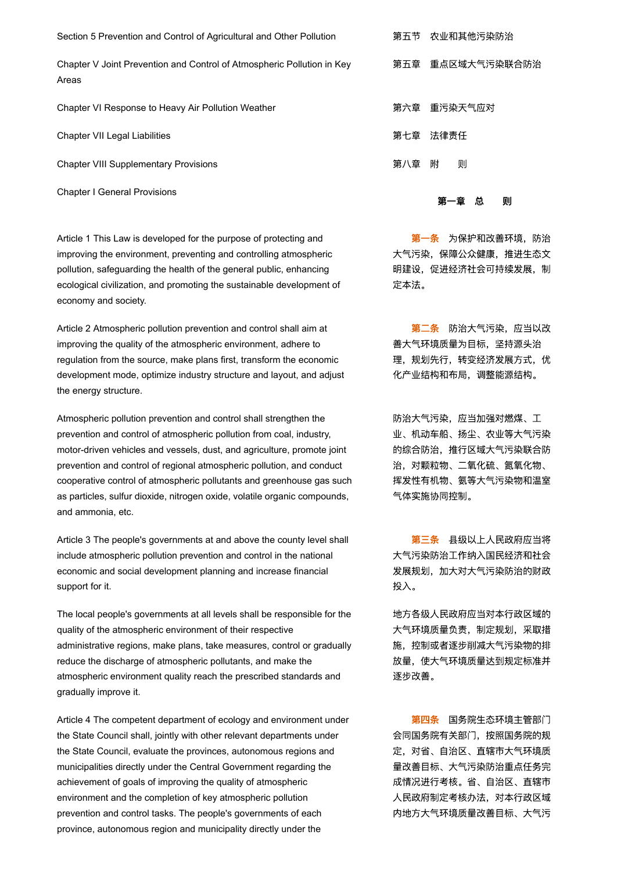Section 5 Prevention and Control of Agricultural and Other Pollution 第五节 农业和其他污染防治

Chapter V Joint Prevention and Control of Atmospheric Pollution in Key Areas

Chapter VI Response to Heavy Air Pollution Weather **Network State State State Team** 第六章 重污染天气应对

Chapter VII Legal Liabilities または、このことをしていることをしている。 第七章 法律责任

Chapter VIII Supplementary Provisions <br>
2008 年代 第八章 附 则

Chapter I General Provisions

Article 1 This Law is developed for the purpose of protecting and improving the environment, preventing and controlling atmospheric pollution, safeguarding the health of the general public, enhancing ecological civilization, and promoting the sustainable development of economy and society.

Article 2 Atmospheric pollution prevention and control shall aim at improving the quality of the atmospheric environment, adhere to regulation from the source, make plans first, transform the economic development mode, optimize industry structure and layout, and adjust the energy structure.

Atmospheric pollution prevention and control shall strengthen the prevention and control of atmospheric pollution from coal, industry, motor-driven vehicles and vessels, dust, and agriculture, promote joint prevention and control of regional atmospheric pollution, and conduct cooperative control of atmospheric pollutants and greenhouse gas such as particles, sulfur dioxide, nitrogen oxide, volatile organic compounds, and ammonia, etc.

Article 3 The people's governments at and above the county level shall include atmospheric pollution prevention and control in the national economic and social development planning and increase financial support for it.

The local people's governments at all levels shall be responsible for the quality of the atmospheric environment of their respective administrative regions, make plans, take measures, control or gradually reduce the discharge of atmospheric pollutants, and make the atmospheric environment quality reach the prescribed standards and gradually improve it.

Article 4 The competent department of ecology and environment under the State Council shall, jointly with other relevant departments under the State Council, evaluate the provinces, autonomous regions and municipalities directly under the Central Government regarding the achievement of goals of improving the quality of atmospheric environment and the completion of key atmospheric pollution prevention and control tasks. The people's governments of each province, autonomous region and municipality directly under the

第五章 重点区域大气污染联合防治

### 第一章 总 则

第一条 为保护和改善环境, 防治 大气污染,保障公众健康,推进生态文 明建设,促进经济社会可持续发展,制 定本法。

第二条 防治大气污染,应当以改 善大气环境质量为目标,坚持源头治 理,规划先行,转变经济发展方式,优 化产业结构和布局,调整能源结构。

防治大气污染,应当加强对燃煤、工 业、机动车船、扬尘、农业等大气污染 的综合防治,推行区域大气污染联合防 治,对颗粒物、二氧化硫、氮氧化物、 挥发性有机物、氨等大气污染物和温室 气体实施协同控制。

第三条 县级以上人民政府应当将 大气污染防治工作纳入国民经济和社会 发展规划,加大对大气污染防治的财政 投入。

地方各级人民政府应当对本行政区域的 大气环境质量负责,制定规划,采取措 施,控制或者逐步削减大气污染物的排 放量,使大气环境质量达到规定标准并 逐步改善。

第四条 国务院生态环境主管部门 会同国务院有关部门,按照国务院的规 定,对省、自治区、直辖市大气环境质 量改善目标、大气污染防治重点任务完 成情况进行考核。省、自治区、直辖市 人民政府制定考核办法,对本行政区域 内地方大气环境质量改善目标、大气污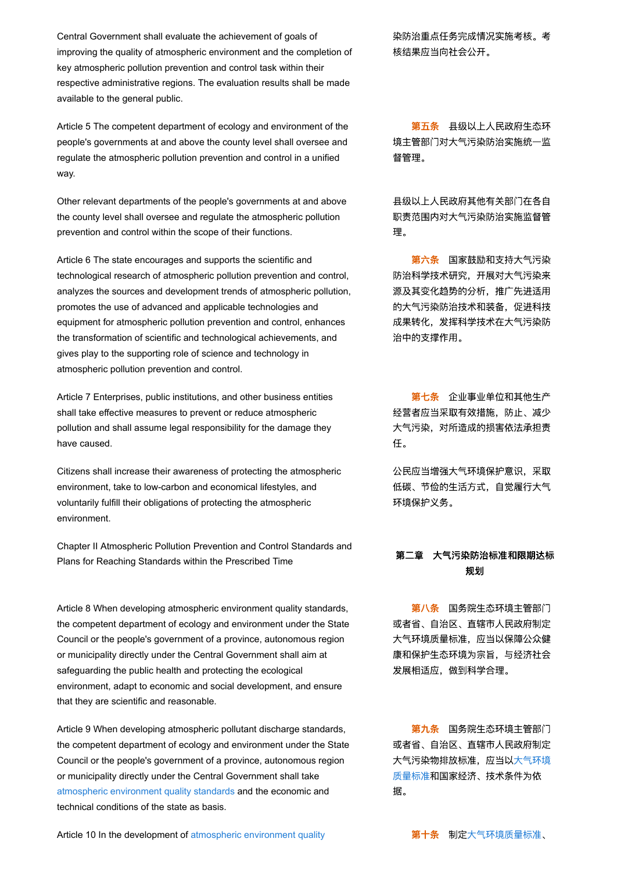Central Government shall evaluate the achievement of goals of improving the quality of atmospheric environment and the completion of key atmospheric pollution prevention and control task within their respective administrative regions. The evaluation results shall be made available to the general public.

Article 5 The competent department of ecology and environment of the people's governments at and above the county level shall oversee and regulate the atmospheric pollution prevention and control in a unified way.

Other relevant departments of the people's governments at and above the county level shall oversee and regulate the atmospheric pollution prevention and control within the scope of their functions.

Article 6 The state encourages and supports the scientific and technological research of atmospheric pollution prevention and control, analyzes the sources and development trends of atmospheric pollution, promotes the use of advanced and applicable technologies and equipment for atmospheric pollution prevention and control, enhances the transformation of scientific and technological achievements, and gives play to the supporting role of science and technology in atmospheric pollution prevention and control.

Article 7 Enterprises, public institutions, and other business entities shall take effective measures to prevent or reduce atmospheric pollution and shall assume legal responsibility for the damage they have caused.

Citizens shall increase their awareness of protecting the atmospheric environment, take to low-carbon and economical lifestyles, and voluntarily fulfill their obligations of protecting the atmospheric environment.

Chapter II Atmospheric Pollution Prevention and Control Standards and Plans for Reaching Standards within the Prescribed Time **the Contract of the Standard Standards** within the Prescribed Time

Article 8 When developing atmospheric environment quality standards, the competent department of ecology and environment under the State Council or the people's government of a province, autonomous region or municipality directly under the Central Government shall aim at safeguarding the public health and protecting the ecological environment, adapt to economic and social development, and ensure that they are scientific and reasonable.

Article 9 When developing atmospheric pollutant discharge standards, the competent department of ecology and environment under the State Council or the people's government of a province, autonomous region or municipality directly under the Central Government shall take [atmospheric environment quality standards](javascript:ESLC(1250,0)) and the economic and technical conditions of the state as basis.

染防治重点任务完成情况实施考核。考 核结果应当向社会公开。

第五条 县级以上人民政府生态环 境主管部门对大气污染防治实施统一监 督管理。

县级以上人民政府其他有关部门在各自 职责范围内对大气污染防治实施监督管 理。

第六条 国家鼓励和支持大气污染 防治科学技术研究,开展对大气污染来 源及其变化趋势的分析,推广先进适用 的大气污染防治技术和装备,促进科技 成果转化,发挥科学技术在大气污染防 治中的支撑作用。

第七条 企业事业单位和其他生产 经营者应当采取有效措施,防止、减少 大气污染,对所造成的损害依法承担责 任。

公民应当增强大气环境保护意识,采取 低碳、节俭的生活方式,自觉履行大气 环境保护义务。

# 规划

第八条 国务院生态环境主管部门 或者省、自治区、直辖市人民政府制定 大气环境质量标准,应当以保障公众健 康和保护生态环境为宗旨,与经济社会 发展相适应,做到科学合理。

第九条 国务院生态环境主管部门 或者省、自治区、直辖市人民政府制定 [大气污染物排放标准,应当以大气环境](javascript:SLC(1250,0)) 质量标准和国家经济、技术条件为依 据。

[Article 10 In the development of atmospheric environment quality](javascript:ESLC(1250,0)) **article to the set with the development** of atmospheric environment quality **the set of the set of the set of the set of the set of the set of the set of t**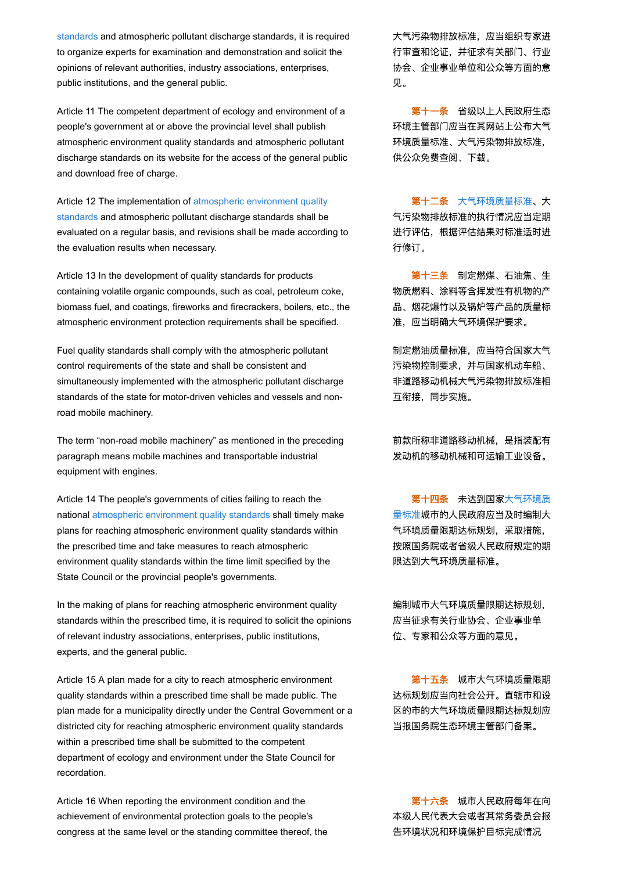[standards and atmospheric pollutant discharge standards, it is req](javascript:ESLC(1250,0))uired to organize experts for examination and demonstration and solicit the opinions of relevant authorities, industry associations, enterprises, public institutions, and the general public.

Article 11 The competent department of ecology and environment of a people's government at or above the provincial level shall publish atmospheric environment quality standards and atmospheric pollutant discharge standards on its website for the access of the general public and download free of charge.

[Article 12 The implementation of atmospheric environment quality](javascript:ESLC(1250,0)) standards and atmospheric pollutant discharge standards shall be evaluated on a regular basis, and revisions shall be made according to the evaluation results when necessary.

Article 13 In the development of quality standards for products containing volatile organic compounds, such as coal, petroleum coke, biomass fuel, and coatings, fireworks and firecrackers, boilers, etc., the atmospheric environment protection requirements shall be specified.

Fuel quality standards shall comply with the atmospheric pollutant control requirements of the state and shall be consistent and simultaneously implemented with the atmospheric pollutant discharge standards of the state for motor-driven vehicles and vessels and nonroad mobile machinery.

The term "non-road mobile machinery" as mentioned in the preceding paragraph means mobile machines and transportable industrial equipment with engines.

Article 14 The people's governments of cities failing to reach the national [atmospheric environment quality standards](javascript:ESLC(1250,0)) shall timely make plans for reaching atmospheric environment quality standards within the prescribed time and take measures to reach atmospheric environment quality standards within the time limit specified by the State Council or the provincial people's governments.

In the making of plans for reaching atmospheric environment quality standards within the prescribed time, it is required to solicit the opinions of relevant industry associations, enterprises, public institutions, experts, and the general public.

Article 15 A plan made for a city to reach atmospheric environment quality standards within a prescribed time shall be made public. The plan made for a municipality directly under the Central Government or a districted city for reaching atmospheric environment quality standards within a prescribed time shall be submitted to the competent department of ecology and environment under the State Council for recordation.

Article 16 When reporting the environment condition and the achievement of environmental protection goals to the people's congress at the same level or the standing committee thereof, the 大气污染物排放标准,应当组织专家进 行审查和论证,并征求有关部门、行业 协会、企业事业单位和公众等方面的意 见。

第十一条 省级以上人民政府生态 环境主管部门应当在其网站上公布大气 环境质量标准、大气污染物排放标准, 供公众免费查阅、下载。

第十二条 [大气环境质量标准](javascript:SLC(1250,0))、大 气污染物排放标准的执行情况应当定期 进行评估,根据评估结果对标准适时进 行修订。

第十三条 制定燃煤、石油焦、生 物质燃料、涂料等含挥发性有机物的产 品、烟花爆竹以及锅炉等产品的质量标 准,应当明确大气环境保护要求。

制定燃油质量标准,应当符合国家大气 污染物控制要求,并与国家机动车船、 非道路移动机械大气污染物排放标准相 互衔接,同步实施。

前款所称非道路移动机械,是指装配有 发动机的移动机械和可运输工业设备。

第十四条 未达到国家大气环境质 [量标准城市的人民政府应当及时编制大](javascript:SLC(1250,0)) 气环境质量限期达标规划,采取措施, 按照国务院或者省级人民政府规定的期 限达到大气环境质量标准。

编制城市大气环境质量限期达标规划, 应当征求有关行业协会、企业事业单 位、专家和公众等方面的意见。

第十五条 城市大气环境质量限期 达标规划应当向社会公开。直辖市和设 区的市的大气环境质量限期达标规划应 当报国务院生态环境主管部门备案。

第十六条 城市人民政府每年在向 本级人民代表大会或者其常务委员会报 告环境状况和环境保护目标完成情况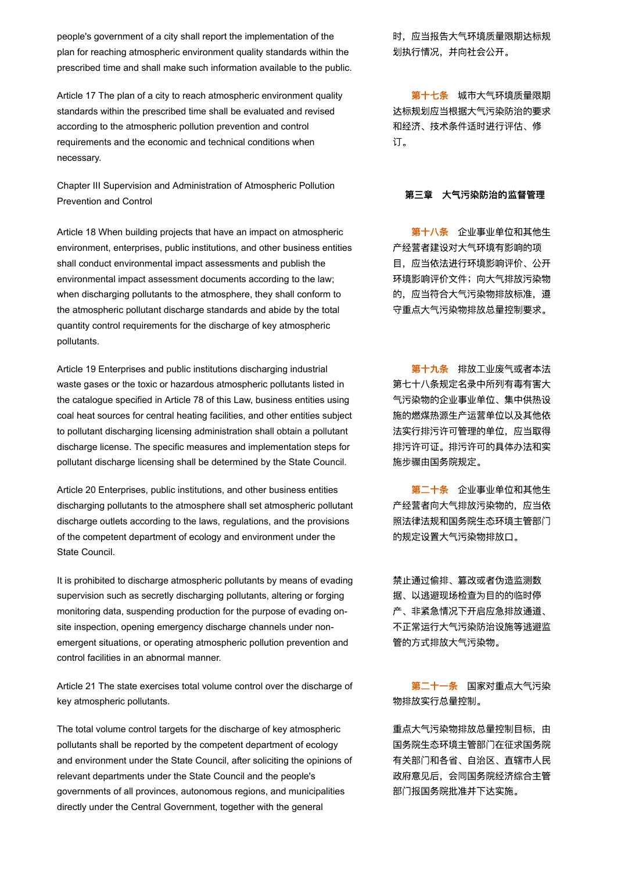people's government of a city shall report the implementation of the plan for reaching atmospheric environment quality standards within the prescribed time and shall make such information available to the public.

Article 17 The plan of a city to reach atmospheric environment quality standards within the prescribed time shall be evaluated and revised according to the atmospheric pollution prevention and control requirements and the economic and technical conditions when necessary.

Chapter III Supervision and Administration of Atmospheric Pollution Prevention and Control Prevention and Control Prevention and Control Prevention and Control

Article 18 When building projects that have an impact on atmospheric environment, enterprises, public institutions, and other business entities shall conduct environmental impact assessments and publish the environmental impact assessment documents according to the law; when discharging pollutants to the atmosphere, they shall conform to the atmospheric pollutant discharge standards and abide by the total quantity control requirements for the discharge of key atmospheric pollutants.

Article 19 Enterprises and public institutions discharging industrial waste gases or the toxic or hazardous atmospheric pollutants listed in the catalogue specified in Article 78 of this Law, business entities using coal heat sources for central heating facilities, and other entities subject to pollutant discharging licensing administration shall obtain a pollutant discharge license. The specific measures and implementation steps for pollutant discharge licensing shall be determined by the State Council.

Article 20 Enterprises, public institutions, and other business entities discharging pollutants to the atmosphere shall set atmospheric pollutant discharge outlets according to the laws, regulations, and the provisions of the competent department of ecology and environment under the State Council.

It is prohibited to discharge atmospheric pollutants by means of evading supervision such as secretly discharging pollutants, altering or forging monitoring data, suspending production for the purpose of evading onsite inspection, opening emergency discharge channels under nonemergent situations, or operating atmospheric pollution prevention and control facilities in an abnormal manner.

Article 21 The state exercises total volume control over the discharge of key atmospheric pollutants.

The total volume control targets for the discharge of key atmospheric pollutants shall be reported by the competent department of ecology and environment under the State Council, after soliciting the opinions of relevant departments under the State Council and the people's governments of all provinces, autonomous regions, and municipalities directly under the Central Government, together with the general

时,应当报告大气环境质量限期达标规 划执行情况,并向社会公开。

第十七条 城市大气环境质量限期 达标规划应当根据大气污染防治的要求 和经济、技术条件适时进行评估、修 订。

第十八条 企业事业单位和其他生 产经营者建设对大气环境有影响的项 目,应当依法进行环境影响评价、公开 环境影响评价文件;向大气排放污染物 的,应当符合大气污染物排放标准,遵 守重点大气污染物排放总量控制要求。

第十九条 排放工业废气或者本法 第七十八条规定名录中所列有毒有害大 气污染物的企业事业单位、集中供热设 施的燃煤热源生产运营单位以及其他依 法实行排污许可管理的单位,应当取得 排污许可证。排污许可的具体办法和实 施步骤由国务院规定。

第二十条 企业事业单位和其他生 产经营者向大气排放污染物的,应当依 照法律法规和国务院生态环境主管部门 的规定设置大气污染物排放口。

禁止通过偷排、篡改或者伪造监测数 据、以逃避现场检查为目的的临时停 产、非紧急情况下开启应急排放通道、 不正常运行大气污染防治设施等逃避监 管的方式排放大气污染物。

第二十一条 国家对重点大气污染 物排放实行总量控制。

重点大气污染物排放总量控制目标,由 国务院生态环境主管部门在征求国务院 有关部门和各省、自治区、直辖市人民 政府意见后,会同国务院经济综合主管 部门报国务院批准并下达实施。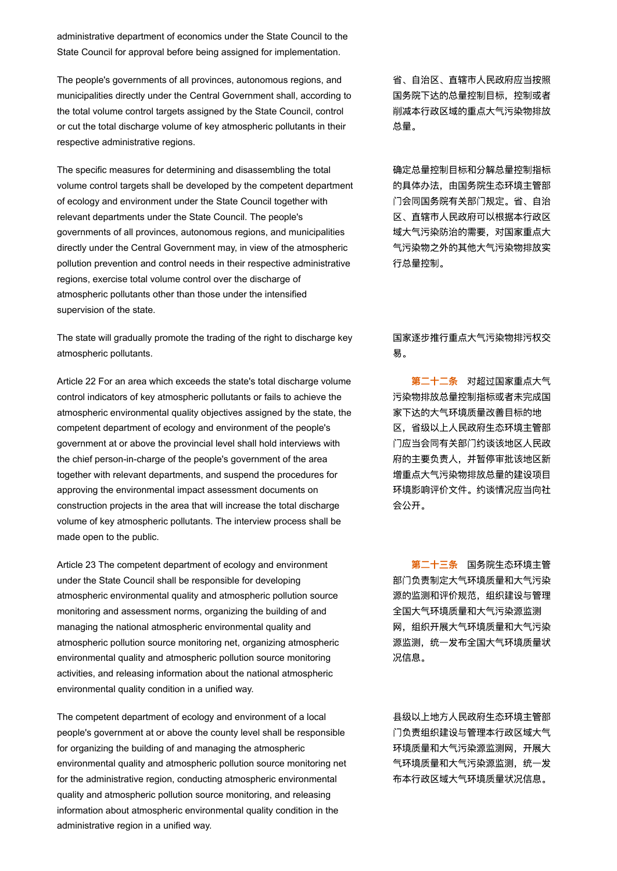administrative department of economics under the State Council to the State Council for approval before being assigned for implementation.

The people's governments of all provinces, autonomous regions, and municipalities directly under the Central Government shall, according to the total volume control targets assigned by the State Council, control or cut the total discharge volume of key atmospheric pollutants in their respective administrative regions.

The specific measures for determining and disassembling the total volume control targets shall be developed by the competent department of ecology and environment under the State Council together with relevant departments under the State Council. The people's governments of all provinces, autonomous regions, and municipalities directly under the Central Government may, in view of the atmospheric pollution prevention and control needs in their respective administrative regions, exercise total volume control over the discharge of atmospheric pollutants other than those under the intensified supervision of the state.

The state will gradually promote the trading of the right to discharge key atmospheric pollutants.

Article 22 For an area which exceeds the state's total discharge volume control indicators of key atmospheric pollutants or fails to achieve the atmospheric environmental quality objectives assigned by the state, the competent department of ecology and environment of the people's government at or above the provincial level shall hold interviews with the chief person-in-charge of the people's government of the area together with relevant departments, and suspend the procedures for approving the environmental impact assessment documents on construction projects in the area that will increase the total discharge volume of key atmospheric pollutants. The interview process shall be made open to the public.

Article 23 The competent department of ecology and environment under the State Council shall be responsible for developing atmospheric environmental quality and atmospheric pollution source monitoring and assessment norms, organizing the building of and managing the national atmospheric environmental quality and atmospheric pollution source monitoring net, organizing atmospheric environmental quality and atmospheric pollution source monitoring activities, and releasing information about the national atmospheric environmental quality condition in a unified way.

The competent department of ecology and environment of a local people's government at or above the county level shall be responsible for organizing the building of and managing the atmospheric environmental quality and atmospheric pollution source monitoring net for the administrative region, conducting atmospheric environmental quality and atmospheric pollution source monitoring, and releasing information about atmospheric environmental quality condition in the administrative region in a unified way.

省、自治区、直辖市人民政府应当按照 国务院下达的总量控制目标,控制或者 削减本行政区域的重点大气污染物排放 总量。

确定总量控制目标和分解总量控制指标 的具体办法,由国务院生态环境主管部 门会同国务院有关部门规定。省、自治 区、直辖市人民政府可以根据本行政区 域大气污染防治的需要,对国家重点大 气污染物之外的其他大气污染物排放实 行总量控制。

国家逐步推行重点大气污染物排污权交 易。

第二十二条 对超过国家重点大气 污染物排放总量控制指标或者未完成国 家下达的大气环境质量改善目标的地 区,省级以上人民政府生态环境主管部 门应当会同有关部门约谈该地区人民政 府的主要负责人,并暂停审批该地区新 增重点大气污染物排放总量的建设项目 环境影响评价文件。约谈情况应当向社 会公开。

第二十三条 国务院生态环境主管 部门负责制定大气环境质量和大气污染 源的监测和评价规范,组织建设与管理 全国大气环境质量和大气污染源监测 网,组织开展大气环境质量和大气污染 源监测,统一发布全国大气环境质量状 况信息。

县级以上地方人民政府生态环境主管部 门负责组织建设与管理本行政区域大气 环境质量和大气污染源监测网,开展大 气环境质量和大气污染源监测,统一发 布本行政区域大气环境质量状况信息。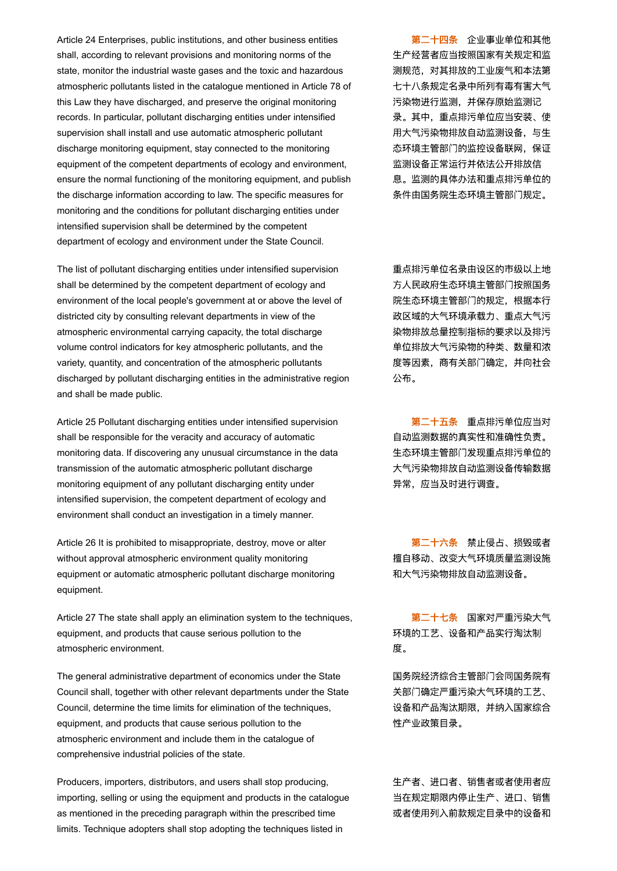Article 24 Enterprises, public institutions, and other business entities shall, according to relevant provisions and monitoring norms of the state, monitor the industrial waste gases and the toxic and hazardous atmospheric pollutants listed in the catalogue mentioned in Article 78 of this Law they have discharged, and preserve the original monitoring records. In particular, pollutant discharging entities under intensified supervision shall install and use automatic atmospheric pollutant discharge monitoring equipment, stay connected to the monitoring equipment of the competent departments of ecology and environment, ensure the normal functioning of the monitoring equipment, and publish the discharge information according to law. The specific measures for monitoring and the conditions for pollutant discharging entities under intensified supervision shall be determined by the competent department of ecology and environment under the State Council.

The list of pollutant discharging entities under intensified supervision shall be determined by the competent department of ecology and environment of the local people's government at or above the level of districted city by consulting relevant departments in view of the atmospheric environmental carrying capacity, the total discharge volume control indicators for key atmospheric pollutants, and the variety, quantity, and concentration of the atmospheric pollutants discharged by pollutant discharging entities in the administrative region and shall be made public.

Article 25 Pollutant discharging entities under intensified supervision shall be responsible for the veracity and accuracy of automatic monitoring data. If discovering any unusual circumstance in the data transmission of the automatic atmospheric pollutant discharge monitoring equipment of any pollutant discharging entity under intensified supervision, the competent department of ecology and environment shall conduct an investigation in a timely manner.

Article 26 It is prohibited to misappropriate, destroy, move or alter without approval atmospheric environment quality monitoring equipment or automatic atmospheric pollutant discharge monitoring equipment.

Article 27 The state shall apply an elimination system to the techniques, equipment, and products that cause serious pollution to the atmospheric environment.

The general administrative department of economics under the State Council shall, together with other relevant departments under the State Council, determine the time limits for elimination of the techniques, equipment, and products that cause serious pollution to the atmospheric environment and include them in the catalogue of comprehensive industrial policies of the state.

Producers, importers, distributors, and users shall stop producing, importing, selling or using the equipment and products in the catalogue as mentioned in the preceding paragraph within the prescribed time limits. Technique adopters shall stop adopting the techniques listed in

第二十四条 企业事业单位和其他 生产经营者应当按照国家有关规定和监 测规范,对其排放的工业废气和本法第 七十八条规定名录中所列有毒有害大气 污染物进行监测,并保存原始监测记 录。其中,重点排污单位应当安装、使 用大气污染物排放自动监测设备,与生 态环境主管部门的监控设备联网,保证 监测设备正常运行并依法公开排放信 息。监测的具体办法和重点排污单位的 条件由国务院生态环境主管部门规定。

重点排污单位名录由设区的市级以上地 方人民政府生态环境主管部门按照国务 院生态环境主管部门的规定,根据本行 政区域的大气环境承载力、重点大气污 染物排放总量控制指标的要求以及排污 单位排放大气污染物的种类、数量和浓 度等因素,商有关部门确定,并向社会 公布。

第二十五条 重点排污单位应当对 自动监测数据的真实性和准确性负责。 生态环境主管部门发现重点排污单位的 大气污染物排放自动监测设备传输数据 异常,应当及时进行调查。

第二十六条 禁止侵占、损毁或者 擅自移动、改变大气环境质量监测设施 和大气污染物排放自动监测设备。

第二十七条 国家对严重污染大气 环境的工艺、设备和产品实行淘汰制 度。

国务院经济综合主管部门会同国务院有 关部门确定严重污染大气环境的工艺、 设备和产品淘汰期限,并纳入国家综合 性产业政策目录。

生产者、进口者、销售者或者使用者应 当在规定期限内停止生产、进口、销售 或者使用列入前款规定目录中的设备和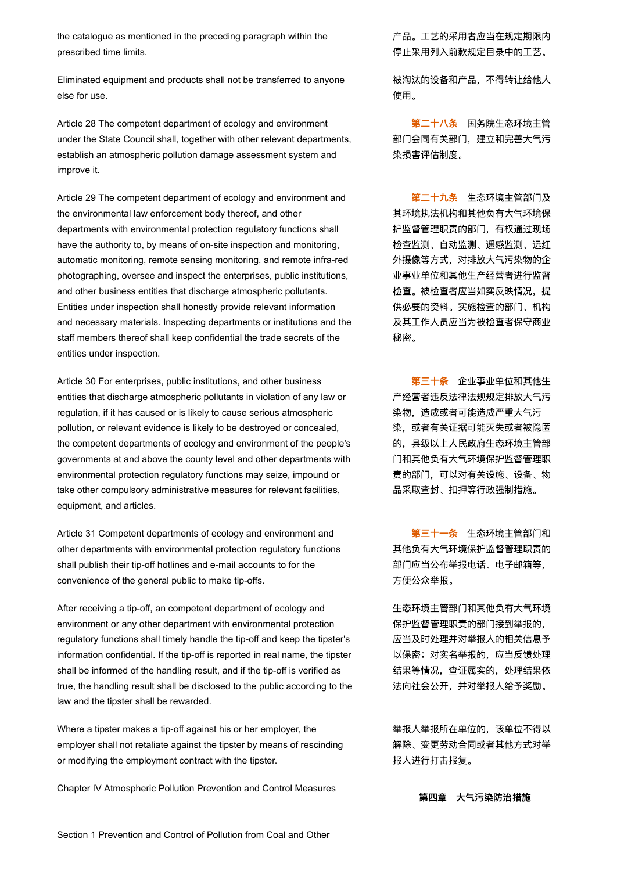the catalogue as mentioned in the preceding paragraph within the prescribed time limits.

Eliminated equipment and products shall not be transferred to anyone else for use.

Article 28 The competent department of ecology and environment under the State Council shall, together with other relevant departments, establish an atmospheric pollution damage assessment system and improve it.

Article 29 The competent department of ecology and environment and the environmental law enforcement body thereof, and other departments with environmental protection regulatory functions shall have the authority to, by means of on-site inspection and monitoring, automatic monitoring, remote sensing monitoring, and remote infra-red photographing, oversee and inspect the enterprises, public institutions, and other business entities that discharge atmospheric pollutants. Entities under inspection shall honestly provide relevant information and necessary materials. Inspecting departments or institutions and the staff members thereof shall keep confidential the trade secrets of the entities under inspection.

Article 30 For enterprises, public institutions, and other business entities that discharge atmospheric pollutants in violation of any law or regulation, if it has caused or is likely to cause serious atmospheric pollution, or relevant evidence is likely to be destroyed or concealed, the competent departments of ecology and environment of the people's governments at and above the county level and other departments with environmental protection regulatory functions may seize, impound or take other compulsory administrative measures for relevant facilities, equipment, and articles.

Article 31 Competent departments of ecology and environment and other departments with environmental protection regulatory functions shall publish their tip-off hotlines and e-mail accounts to for the convenience of the general public to make tip-offs.

After receiving a tip-off, an competent department of ecology and environment or any other department with environmental protection regulatory functions shall timely handle the tip-off and keep the tipster's information confidential. If the tip-off is reported in real name, the tipster shall be informed of the handling result, and if the tip-off is verified as true, the handling result shall be disclosed to the public according to the law and the tipster shall be rewarded.

Where a tipster makes a tip-off against his or her employer, the employer shall not retaliate against the tipster by means of rescinding or modifying the employment contract with the tipster.

Chapter IV Atmospheric Pollution Prevention and Control Measures

产品。工艺的采用者应当在规定期限内 停止采用列入前款规定目录中的工艺。

被淘汰的设备和产品,不得转让给他人 使用。

第二十八条 国务院生态环境主管 部门会同有关部门,建立和完善大气污 染损害评估制度。

第二十九条 生态环境主管部门及 其环境执法机构和其他负有大气环境保 护监督管理职责的部门,有权通过现场 检查监测、自动监测、遥感监测、远红 外摄像等方式,对排放大气污染物的企 业事业单位和其他生产经营者进行监督 检查。被检查者应当如实反映情况,提 供必要的资料。实施检查的部门、机构 及其工作人员应当为被检查者保守商业 秘密。

第三十条 企业事业单位和其他生 产经营者违反法律法规规定排放大气污 染物,造成或者可能造成严重大气污 染,或者有关证据可能灭失或者被隐匿 的,县级以上人民政府生态环境主管部 门和其他负有大气环境保护监督管理职 责的部门,可以对有关设施、设备、物 品采取查封、扣押等行政强制措施。

第三十一条 生态环境主管部门和 其他负有大气环境保护监督管理职责的 部门应当公布举报电话、电子邮箱等, 方便公众举报。

生态环境主管部门和其他负有大气环境 保护监督管理职责的部门接到举报的, 应当及时处理并对举报人的相关信息予 以保密;对实名举报的,应当反馈处理 结果等情况,查证属实的,处理结果依 法向社会公开,并对举报人给予奖励。

举报人举报所在单位的,该单位不得以 解除、变更劳动合同或者其他方式对举 报人进行打击报复。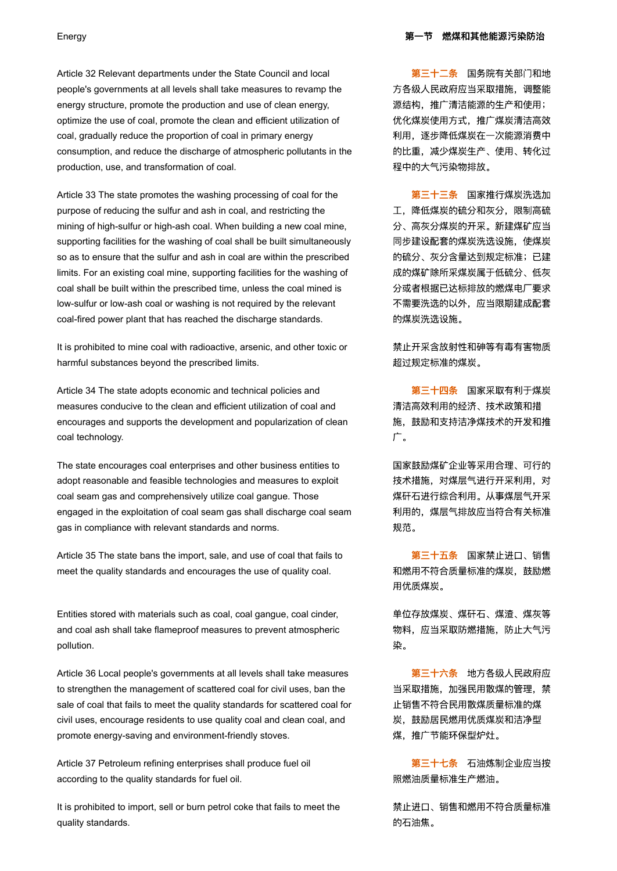Article 32 Relevant departments under the State Council and local people's governments at all levels shall take measures to revamp the energy structure, promote the production and use of clean energy, optimize the use of coal, promote the clean and efficient utilization of coal, gradually reduce the proportion of coal in primary energy consumption, and reduce the discharge of atmospheric pollutants in the production, use, and transformation of coal.

Article 33 The state promotes the washing processing of coal for the purpose of reducing the sulfur and ash in coal, and restricting the mining of high-sulfur or high-ash coal. When building a new coal mine, supporting facilities for the washing of coal shall be built simultaneously so as to ensure that the sulfur and ash in coal are within the prescribed limits. For an existing coal mine, supporting facilities for the washing of coal shall be built within the prescribed time, unless the coal mined is low-sulfur or low-ash coal or washing is not required by the relevant coal-fired power plant that has reached the discharge standards.

It is prohibited to mine coal with radioactive, arsenic, and other toxic or harmful substances beyond the prescribed limits.

Article 34 The state adopts economic and technical policies and measures conducive to the clean and efficient utilization of coal and encourages and supports the development and popularization of clean coal technology.

The state encourages coal enterprises and other business entities to adopt reasonable and feasible technologies and measures to exploit coal seam gas and comprehensively utilize coal gangue. Those engaged in the exploitation of coal seam gas shall discharge coal seam gas in compliance with relevant standards and norms.

Article 35 The state bans the import, sale, and use of coal that fails to meet the quality standards and encourages the use of quality coal.

Entities stored with materials such as coal, coal gangue, coal cinder, and coal ash shall take flameproof measures to prevent atmospheric pollution.

Article 36 Local people's governments at all levels shall take measures to strengthen the management of scattered coal for civil uses, ban the sale of coal that fails to meet the quality standards for scattered coal for civil uses, encourage residents to use quality coal and clean coal, and promote energy-saving and environment-friendly stoves.

Article 37 Petroleum refining enterprises shall produce fuel oil according to the quality standards for fuel oil.

It is prohibited to import, sell or burn petrol coke that fails to meet the quality standards.

第三十二条 国务院有关部门和地 方各级人民政府应当采取措施,调整能 源结构,推广清洁能源的生产和使用; 优化煤炭使用方式,推广煤炭清洁高效 利用,逐步降低煤炭在一次能源消费中 的比重,减少煤炭生产、使用、转化过 程中的大气污染物排放。

第三十三条 国家推行煤炭洗选加 工,降低煤炭的硫分和灰分,限制高硫 分、高灰分煤炭的开采。新建煤矿应当 同步建设配套的煤炭洗选设施,使煤炭 的硫分、灰分含量达到规定标准;已建 成的煤矿除所采煤炭属于低硫分、低灰 分或者根据已达标排放的燃煤电厂要求 不需要洗选的以外,应当限期建成配套 的煤炭洗选设施。

禁止开采含放射性和砷等有毒有害物质 超过规定标准的煤炭。

第三十四条 国家采取有利于煤炭 清洁高效利用的经济、技术政策和措 施,鼓励和支持洁净煤技术的开发和推 广。

国家鼓励煤矿企业等采用合理、可行的 技术措施,对煤层气进行开采利用,对 煤矸石进行综合利用。从事煤层气开采 利用的,煤层气排放应当符合有关标准 规范。

第三十五条 国家禁止进口、销售 和燃用不符合质量标准的煤炭,鼓励燃 用优质煤炭。

单位存放煤炭、煤矸石、煤渣、煤灰等 物料,应当采取防燃措施,防止大气污 染。

第三十六条 地方各级人民政府应 当采取措施,加强民用散煤的管理,禁 止销售不符合民用散煤质量标准的煤 炭,鼓励居民燃用优质煤炭和洁净型 煤,推广节能环保型炉灶。

第三十七条 石油炼制企业应当按 照燃油质量标准生产燃油。

禁止进口、销售和燃用不符合质量标准 的石油焦。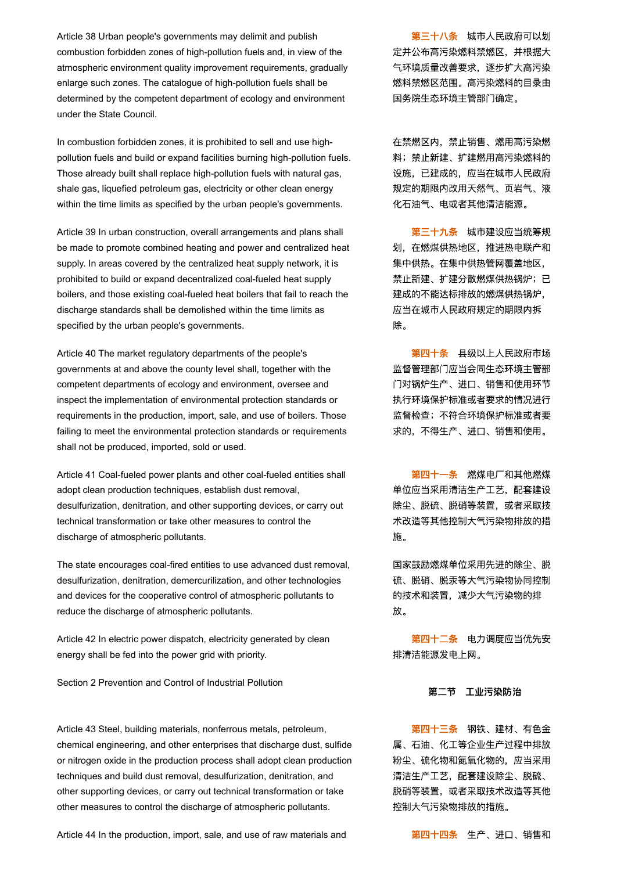Article 38 Urban people's governments may delimit and publish combustion forbidden zones of high-pollution fuels and, in view of the atmospheric environment quality improvement requirements, gradually enlarge such zones. The catalogue of high-pollution fuels shall be determined by the competent department of ecology and environment under the State Council.

In combustion forbidden zones, it is prohibited to sell and use highpollution fuels and build or expand facilities burning high-pollution fuels. Those already built shall replace high-pollution fuels with natural gas, shale gas, liquefied petroleum gas, electricity or other clean energy within the time limits as specified by the urban people's governments.

Article 39 In urban construction, overall arrangements and plans shall be made to promote combined heating and power and centralized heat supply. In areas covered by the centralized heat supply network, it is prohibited to build or expand decentralized coal-fueled heat supply boilers, and those existing coal-fueled heat boilers that fail to reach the discharge standards shall be demolished within the time limits as specified by the urban people's governments.

Article 40 The market regulatory departments of the people's governments at and above the county level shall, together with the competent departments of ecology and environment, oversee and inspect the implementation of environmental protection standards or requirements in the production, import, sale, and use of boilers. Those failing to meet the environmental protection standards or requirements shall not be produced, imported, sold or used.

Article 41 Coal-fueled power plants and other coal-fueled entities shall adopt clean production techniques, establish dust removal, desulfurization, denitration, and other supporting devices, or carry out technical transformation or take other measures to control the discharge of atmospheric pollutants.

The state encourages coal-fired entities to use advanced dust removal, desulfurization, denitration, demercurilization, and other technologies and devices for the cooperative control of atmospheric pollutants to reduce the discharge of atmospheric pollutants.

Article 42 In electric power dispatch, electricity generated by clean energy shall be fed into the power grid with priority.

Section 2 Prevention and Control of Industrial Pollution

Article 43 Steel, building materials, nonferrous metals, petroleum, chemical engineering, and other enterprises that discharge dust, sulfide or nitrogen oxide in the production process shall adopt clean production techniques and build dust removal, desulfurization, denitration, and other supporting devices, or carry out technical transformation or take other measures to control the discharge of atmospheric pollutants.

Article 44 In the production, import, sale, and use of raw materials and **Article 3** 第四十四条 生产、进口、销售和

第三十八条 城市人民政府可以划 定并公布高污染燃料禁燃区,并根据大 气环境质量改善要求,逐步扩大高污染 燃料禁燃区范围。高污染燃料的目录由 国务院生态环境主管部门确定。

在禁燃区内,禁止销售、燃用高污染燃 料;禁止新建、扩建燃用高污染燃料的 设施,已建成的,应当在城市人民政府 规定的期限内改用天然气、页岩气、液 化石油气、电或者其他清洁能源。

第三十九条 城市建设应当统筹规 划,在燃煤供热地区,推进热电联产和 集中供热。在集中供热管网覆盖地区, 禁止新建、扩建分散燃煤供热锅炉;已 建成的不能达标排放的燃煤供热锅炉, 应当在城市人民政府规定的期限内拆 除。

第四十条 县级以上人民政府市场 监督管理部门应当会同生态环境主管部 门对锅炉生产、进口、销售和使用环节 执行环境保护标准或者要求的情况进行 监督检查;不符合环境保护标准或者要 求的,不得生产、进口、销售和使用。

第四十一条 燃煤电厂和其他燃煤 单位应当采用清洁生产工艺,配套建设 除尘、脱硫、脱硝等装置,或者采取技 术改造等其他控制大气污染物排放的措 施。

国家鼓励燃煤单位采用先进的除尘、脱 硫、脱硝、脱汞等大气污染物协同控制 的技术和装置,减少大气污染物的排 放。

第四十二条 电力调度应当优先安 排清洁能源发电上网。

### 第二节 工业污染防治

第四十三条 钢铁、建材、有色金 属、石油、化工等企业生产过程中排放 粉尘、硫化物和氮氧化物的,应当采用 清洁生产工艺,配套建设除尘、脱硫、 脱硝等装置,或者采取技术改造等其他 控制大气污染物排放的措施。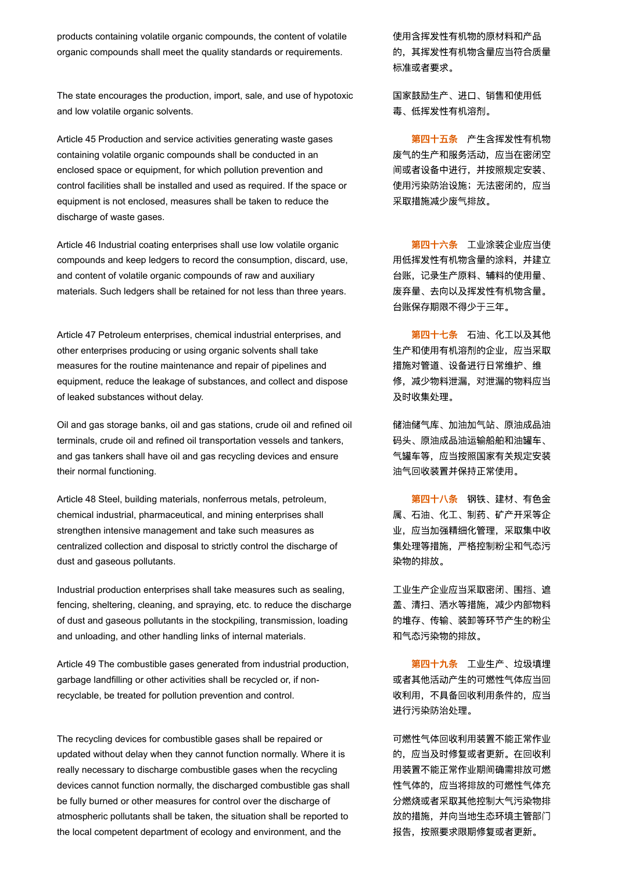products containing volatile organic compounds, the content of volatile organic compounds shall meet the quality standards or requirements.

The state encourages the production, import, sale, and use of hypotoxic and low volatile organic solvents.

Article 45 Production and service activities generating waste gases containing volatile organic compounds shall be conducted in an enclosed space or equipment, for which pollution prevention and control facilities shall be installed and used as required. If the space or equipment is not enclosed, measures shall be taken to reduce the discharge of waste gases.

Article 46 Industrial coating enterprises shall use low volatile organic compounds and keep ledgers to record the consumption, discard, use, and content of volatile organic compounds of raw and auxiliary materials. Such ledgers shall be retained for not less than three years.

Article 47 Petroleum enterprises, chemical industrial enterprises, and other enterprises producing or using organic solvents shall take measures for the routine maintenance and repair of pipelines and equipment, reduce the leakage of substances, and collect and dispose of leaked substances without delay.

Oil and gas storage banks, oil and gas stations, crude oil and refined oil terminals, crude oil and refined oil transportation vessels and tankers, and gas tankers shall have oil and gas recycling devices and ensure their normal functioning.

Article 48 Steel, building materials, nonferrous metals, petroleum, chemical industrial, pharmaceutical, and mining enterprises shall strengthen intensive management and take such measures as centralized collection and disposal to strictly control the discharge of dust and gaseous pollutants.

Industrial production enterprises shall take measures such as sealing, fencing, sheltering, cleaning, and spraying, etc. to reduce the discharge of dust and gaseous pollutants in the stockpiling, transmission, loading and unloading, and other handling links of internal materials.

Article 49 The combustible gases generated from industrial production, garbage landfilling or other activities shall be recycled or, if nonrecyclable, be treated for pollution prevention and control.

The recycling devices for combustible gases shall be repaired or updated without delay when they cannot function normally. Where it is really necessary to discharge combustible gases when the recycling devices cannot function normally, the discharged combustible gas shall be fully burned or other measures for control over the discharge of atmospheric pollutants shall be taken, the situation shall be reported to the local competent department of ecology and environment, and the

使用含挥发性有机物的原材料和产品 的,其挥发性有机物含量应当符合质量 标准或者要求。

国家鼓励生产、进口、销售和使用低 毒、低挥发性有机溶剂。

第四十五条 产生含挥发性有机物 废气的生产和服务活动,应当在密闭空 间或者设备中进行,并按照规定安装、 使用污染防治设施;无法密闭的,应当 采取措施减少废气排放。

第四十六条 工业涂装企业应当使 用低挥发性有机物含量的涂料,并建立 台账,记录生产原料、辅料的使用量、 废弃量、去向以及挥发性有机物含量。 台账保存期限不得少于三年。

第四十七条 石油、化工以及其他 生产和使用有机溶剂的企业,应当采取 措施对管道、设备进行日常维护、维 修,减少物料泄漏,对泄漏的物料应当 及时收集处理。

储油储气库、加油加气站、原油成品油 码头、原油成品油运输船舶和油罐车、 气罐车等,应当按照国家有关规定安装 油气回收装置并保持正常使用。

第四十八条 钢铁、建材、有色金 属、石油、化工、制药、矿产开采等企 业,应当加强精细化管理,采取集中收 集处理等措施,严格控制粉尘和气态污 染物的排放。

工业生产企业应当采取密闭、围挡、遮 盖、清扫、洒水等措施,减少内部物料 的堆存、传输、装卸等环节产生的粉尘 和气态污染物的排放。

第四十九条 工业生产、垃圾填埋 或者其他活动产生的可燃性气体应当回 收利用,不具备回收利用条件的,应当 进行污染防治处理。

可燃性气体回收利用装置不能正常作业 的,应当及时修复或者更新。在回收利 用装置不能正常作业期间确需排放可燃 性气体的,应当将排放的可燃性气体充 分燃烧或者采取其他控制大气污染物排 放的措施,并向当地生态环境主管部门 报告,按照要求限期修复或者更新。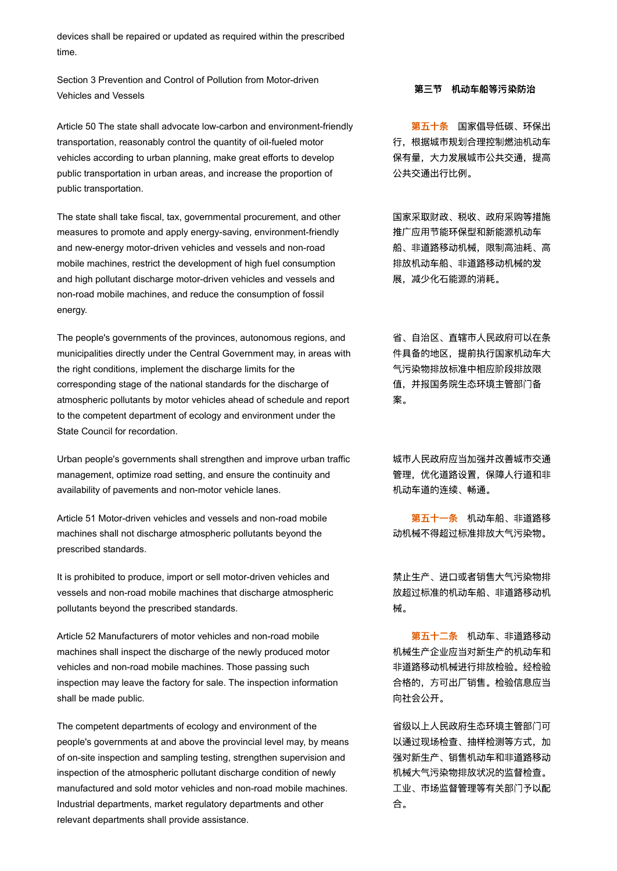devices shall be repaired or updated as required within the prescribed time.

Section 3 Prevention and Control of Pollution from Motor-driven Vehicles and Vessels アンチン・ディー・エンジン アンチン アンチン 第三节 机动车船等污染防治

Article 50 The state shall advocate low-carbon and environment-friendly transportation, reasonably control the quantity of oil-fueled motor vehicles according to urban planning, make great efforts to develop public transportation in urban areas, and increase the proportion of public transportation.

The state shall take fiscal, tax, governmental procurement, and other measures to promote and apply energy-saving, environment-friendly and new-energy motor-driven vehicles and vessels and non-road mobile machines, restrict the development of high fuel consumption and high pollutant discharge motor-driven vehicles and vessels and non-road mobile machines, and reduce the consumption of fossil energy.

The people's governments of the provinces, autonomous regions, and municipalities directly under the Central Government may, in areas with the right conditions, implement the discharge limits for the corresponding stage of the national standards for the discharge of atmospheric pollutants by motor vehicles ahead of schedule and report to the competent department of ecology and environment under the State Council for recordation.

Urban people's governments shall strengthen and improve urban traffic management, optimize road setting, and ensure the continuity and availability of pavements and non-motor vehicle lanes.

Article 51 Motor-driven vehicles and vessels and non-road mobile machines shall not discharge atmospheric pollutants beyond the prescribed standards.

It is prohibited to produce, import or sell motor-driven vehicles and vessels and non-road mobile machines that discharge atmospheric pollutants beyond the prescribed standards.

Article 52 Manufacturers of motor vehicles and non-road mobile machines shall inspect the discharge of the newly produced motor vehicles and non-road mobile machines. Those passing such inspection may leave the factory for sale. The inspection information shall be made public.

The competent departments of ecology and environment of the people's governments at and above the provincial level may, by means of on-site inspection and sampling testing, strengthen supervision and inspection of the atmospheric pollutant discharge condition of newly manufactured and sold motor vehicles and non-road mobile machines. Industrial departments, market regulatory departments and other relevant departments shall provide assistance.

第五十条 国家倡导低碳、环保出 行,根据城市规划合理控制燃油机动车 保有量,大力发展城市公共交通,提高 公共交通出行比例。

国家采取财政、税收、政府采购等措施 推广应用节能环保型和新能源机动车 船、非道路移动机械,限制高油耗、高 排放机动车船、非道路移动机械的发 展,减少化石能源的消耗。

省、自治区、直辖市人民政府可以在条 件具备的地区,提前执行国家机动车大 气污染物排放标准中相应阶段排放限 值,并报国务院生态环境主管部门备 案。

城市人民政府应当加强并改善城市交通 管理,优化道路设置,保障人行道和非 机动车道的连续、畅通。

第五十一条 机动车船、非道路移 动机械不得超过标准排放大气污染物。

禁止生产、进口或者销售大气污染物排 放超过标准的机动车船、非道路移动机 械。

第五十二条 机动车、非道路移动 机械生产企业应当对新生产的机动车和 非道路移动机械进行排放检验。经检验 合格的,方可出厂销售。检验信息应当 向社会公开。

省级以上人民政府生态环境主管部门可 以通过现场检查、抽样检测等方式,加 强对新生产、销售机动车和非道路移动 机械大气污染物排放状况的监督检查。 工业、市场监督管理等有关部门予以配 合。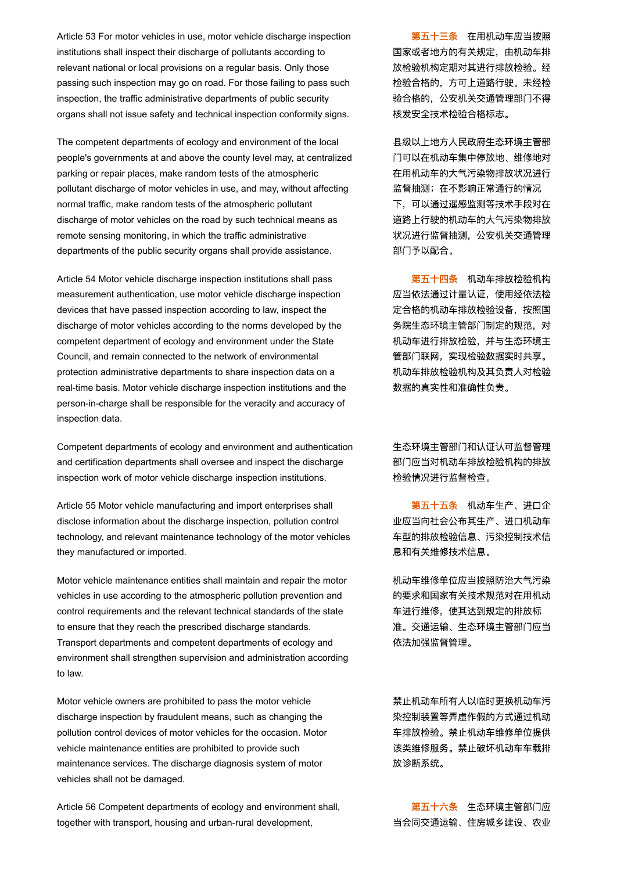Article 53 For motor vehicles in use, motor vehicle discharge inspection institutions shall inspect their discharge of pollutants according to relevant national or local provisions on a regular basis. Only those passing such inspection may go on road. For those failing to pass such inspection, the traffic administrative departments of public security organs shall not issue safety and technical inspection conformity signs.

The competent departments of ecology and environment of the local people's governments at and above the county level may, at centralized parking or repair places, make random tests of the atmospheric pollutant discharge of motor vehicles in use, and may, without affecting normal traffic, make random tests of the atmospheric pollutant discharge of motor vehicles on the road by such technical means as remote sensing monitoring, in which the traffic administrative departments of the public security organs shall provide assistance.

Article 54 Motor vehicle discharge inspection institutions shall pass measurement authentication, use motor vehicle discharge inspection devices that have passed inspection according to law, inspect the discharge of motor vehicles according to the norms developed by the competent department of ecology and environment under the State Council, and remain connected to the network of environmental protection administrative departments to share inspection data on a real-time basis. Motor vehicle discharge inspection institutions and the person-in-charge shall be responsible for the veracity and accuracy of inspection data.

Competent departments of ecology and environment and authentication and certification departments shall oversee and inspect the discharge inspection work of motor vehicle discharge inspection institutions.

Article 55 Motor vehicle manufacturing and import enterprises shall disclose information about the discharge inspection, pollution control technology, and relevant maintenance technology of the motor vehicles they manufactured or imported.

Motor vehicle maintenance entities shall maintain and repair the motor vehicles in use according to the atmospheric pollution prevention and control requirements and the relevant technical standards of the state to ensure that they reach the prescribed discharge standards. Transport departments and competent departments of ecology and environment shall strengthen supervision and administration according to law.

Motor vehicle owners are prohibited to pass the motor vehicle discharge inspection by fraudulent means, such as changing the pollution control devices of motor vehicles for the occasion. Motor vehicle maintenance entities are prohibited to provide such maintenance services. The discharge diagnosis system of motor vehicles shall not be damaged.

Article 56 Competent departments of ecology and environment shall, together with transport, housing and urban-rural development,

第五十三条 在用机动车应当按照 国家或者地方的有关规定,由机动车排 放检验机构定期对其进行排放检验。经 检验合格的,方可上道路行驶。未经检 验合格的,公安机关交通管理部门不得 核发安全技术检验合格标志。

县级以上地方人民政府生态环境主管部 门可以在机动车集中停放地、维修地对 在用机动车的大气污染物排放状况进行 监督抽测;在不影响正常通行的情况 下,可以通过遥感监测等技术手段对在 道路上行驶的机动车的大气污染物排放 状况进行监督抽测,公安机关交通管理 部门予以配合。

第五十四条 机动车排放检验机构 应当依法通过计量认证,使用经依法检 定合格的机动车排放检验设备,按照国 务院生态环境主管部门制定的规范,对 机动车进行排放检验,并与生态环境主 管部门联网,实现检验数据实时共享。 机动车排放检验机构及其负责人对检验 数据的真实性和准确性负责。

生态环境主管部门和认证认可监督管理 部门应当对机动车排放检验机构的排放 检验情况进行监督检查。

第五十五条 机动车生产、进口企 业应当向社会公布其生产、进口机动车 车型的排放检验信息、污染控制技术信 息和有关维修技术信息。

机动车维修单位应当按照防治大气污染 的要求和国家有关技术规范对在用机动 车进行维修,使其达到规定的排放标 准。交通运输、生态环境主管部门应当 依法加强监督管理。

禁止机动车所有人以临时更换机动车污 染控制装置等弄虚作假的方式通过机动 车排放检验。禁止机动车维修单位提供 该类维修服务。禁止破坏机动车车载排 放诊断系统。

第五十六条 生态环境主管部门应 当会同交通运输、住房城乡建设、农业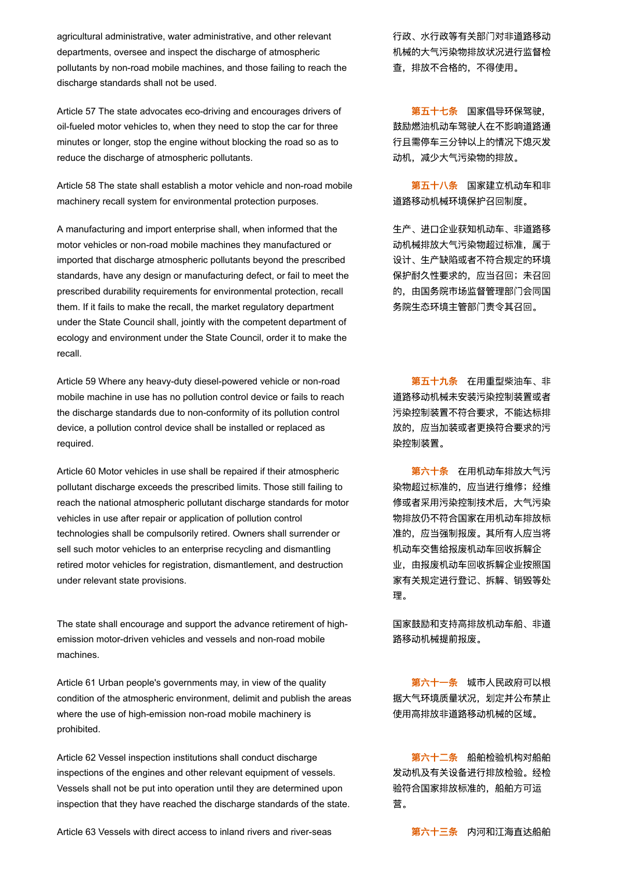agricultural administrative, water administrative, and other relevant departments, oversee and inspect the discharge of atmospheric pollutants by non-road mobile machines, and those failing to reach the discharge standards shall not be used.

Article 57 The state advocates eco-driving and encourages drivers of oil-fueled motor vehicles to, when they need to stop the car for three minutes or longer, stop the engine without blocking the road so as to reduce the discharge of atmospheric pollutants.

Article 58 The state shall establish a motor vehicle and non-road mobile machinery recall system for environmental protection purposes.

A manufacturing and import enterprise shall, when informed that the motor vehicles or non-road mobile machines they manufactured or imported that discharge atmospheric pollutants beyond the prescribed standards, have any design or manufacturing defect, or fail to meet the prescribed durability requirements for environmental protection, recall them. If it fails to make the recall, the market regulatory department under the State Council shall, jointly with the competent department of ecology and environment under the State Council, order it to make the recall.

Article 59 Where any heavy-duty diesel-powered vehicle or non-road mobile machine in use has no pollution control device or fails to reach the discharge standards due to non-conformity of its pollution control device, a pollution control device shall be installed or replaced as required.

Article 60 Motor vehicles in use shall be repaired if their atmospheric pollutant discharge exceeds the prescribed limits. Those still failing to reach the national atmospheric pollutant discharge standards for motor vehicles in use after repair or application of pollution control technologies shall be compulsorily retired. Owners shall surrender or sell such motor vehicles to an enterprise recycling and dismantling retired motor vehicles for registration, dismantlement, and destruction under relevant state provisions.

The state shall encourage and support the advance retirement of highemission motor-driven vehicles and vessels and non-road mobile machines.

Article 61 Urban people's governments may, in view of the quality condition of the atmospheric environment, delimit and publish the areas where the use of high-emission non-road mobile machinery is prohibited.

Article 62 Vessel inspection institutions shall conduct discharge inspections of the engines and other relevant equipment of vessels. Vessels shall not be put into operation until they are determined upon inspection that they have reached the discharge standards of the state.

Article 63 Vessels with direct access to inland rivers and river-seas  **第六十三条** 内河和江海直达船舶

行政、水行政等有关部门对非道路移动 机械的大气污染物排放状况进行监督检 查,排放不合格的,不得使用。

第五十七条 国家倡导环保驾驶, 鼓励燃油机动车驾驶人在不影响道路通 行且需停车三分钟以上的情况下熄灭发 动机,减少大气污染物的排放。

第五十八条 国家建立机动车和非 道路移动机械环境保护召回制度。

生产、进口企业获知机动车、非道路移 动机械排放大气污染物超过标准,属于 设计、生产缺陷或者不符合规定的环境 保护耐久性要求的,应当召回;未召回 的,由国务院市场监督管理部门会同国 务院生态环境主管部门责令其召回。

第五十九条 在用重型柴油车、非 道路移动机械未安装污染控制装置或者 污染控制装置不符合要求,不能达标排 放的,应当加装或者更换符合要求的污 染控制装置。

第六十条 在用机动车排放大气污 染物超过标准的,应当进行维修;经维 修或者采用污染控制技术后,大气污染 物排放仍不符合国家在用机动车排放标 准的,应当强制报废。其所有人应当将 机动车交售给报废机动车回收拆解企 业,由报废机动车回收拆解企业按照国 家有关规定进行登记、拆解、销毁等处 理。

国家鼓励和支持高排放机动车船、非道 路移动机械提前报废。

第六十一条 城市人民政府可以根 据大气环境质量状况,划定并公布禁止 使用高排放非道路移动机械的区域。

第六十二条 船舶检验机构对船舶 发动机及有关设备进行排放检验。经检 验符合国家排放标准的,船舶方可运 营。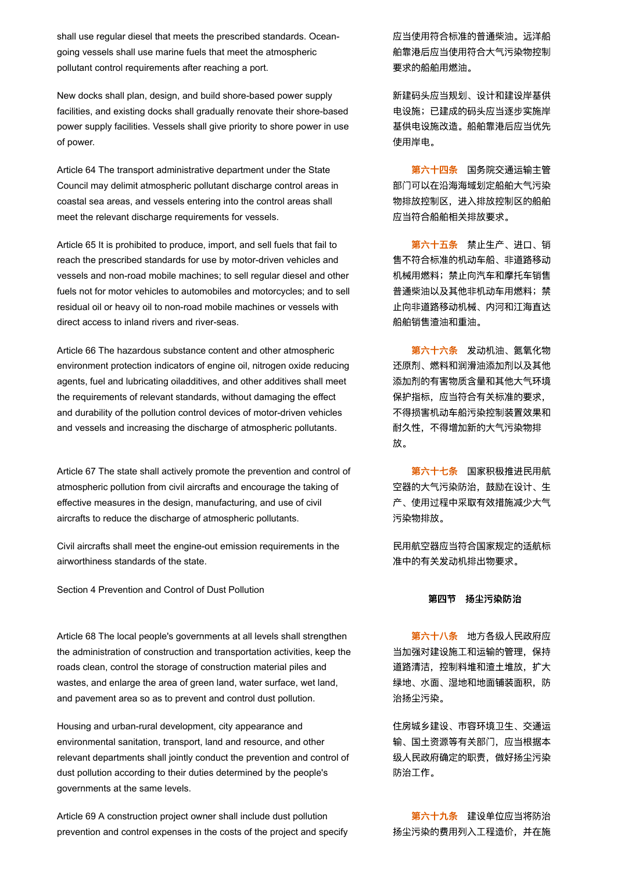shall use regular diesel that meets the prescribed standards. Oceangoing vessels shall use marine fuels that meet the atmospheric pollutant control requirements after reaching a port.

New docks shall plan, design, and build shore-based power supply facilities, and existing docks shall gradually renovate their shore-based power supply facilities. Vessels shall give priority to shore power in use of power.

Article 64 The transport administrative department under the State Council may delimit atmospheric pollutant discharge control areas in coastal sea areas, and vessels entering into the control areas shall meet the relevant discharge requirements for vessels.

Article 65 It is prohibited to produce, import, and sell fuels that fail to reach the prescribed standards for use by motor-driven vehicles and vessels and non-road mobile machines; to sell regular diesel and other fuels not for motor vehicles to automobiles and motorcycles; and to sell residual oil or heavy oil to non-road mobile machines or vessels with direct access to inland rivers and river-seas.

Article 66 The hazardous substance content and other atmospheric environment protection indicators of engine oil, nitrogen oxide reducing agents, fuel and lubricating oiladditives, and other additives shall meet the requirements of relevant standards, without damaging the effect and durability of the pollution control devices of motor-driven vehicles and vessels and increasing the discharge of atmospheric pollutants.

Article 67 The state shall actively promote the prevention and control of atmospheric pollution from civil aircrafts and encourage the taking of effective measures in the design, manufacturing, and use of civil aircrafts to reduce the discharge of atmospheric pollutants.

Civil aircrafts shall meet the engine-out emission requirements in the airworthiness standards of the state.

Section 4 Prevention and Control of Dust Pollution

Article 68 The local people's governments at all levels shall strengthen the administration of construction and transportation activities, keep the roads clean, control the storage of construction material piles and wastes, and enlarge the area of green land, water surface, wet land, and pavement area so as to prevent and control dust pollution.

Housing and urban-rural development, city appearance and environmental sanitation, transport, land and resource, and other relevant departments shall jointly conduct the prevention and control of dust pollution according to their duties determined by the people's governments at the same levels.

Article 69 A construction project owner shall include dust pollution prevention and control expenses in the costs of the project and specify 应当使用符合标准的普通柴油。远洋船 舶靠港后应当使用符合大气污染物控制 要求的船舶用燃油。

新建码头应当规划、设计和建设岸基供 电设施;已建成的码头应当逐步实施岸 基供电设施改造。船舶靠港后应当优先 使用岸电。

第六十四条 国务院交通运输主管 部门可以在沿海海域划定船舶大气污染 物排放控制区,进入排放控制区的船舶 应当符合船舶相关排放要求。

第六十五条 禁止生产、进口、销 售不符合标准的机动车船、非道路移动 机械用燃料;禁止向汽车和摩托车销售 普通柴油以及其他非机动车用燃料;禁 止向非道路移动机械、内河和江海直达 船舶销售渣油和重油。

第六十六条 发动机油、氮氧化物 还原剂、燃料和润滑油添加剂以及其他 添加剂的有害物质含量和其他大气环境 保护指标,应当符合有关标准的要求, 不得损害机动车船污染控制装置效果和 耐久性,不得增加新的大气污染物排 放。

第六十七条 国家积极推进民用航 空器的大气污染防治,鼓励在设计、生 产、使用过程中采取有效措施减少大气 污染物排放。

民用航空器应当符合国家规定的适航标 准中的有关发动机排出物要求。

### 第四节 扬尘污染防治

第六十八条 地方各级人民政府应 当加强对建设施工和运输的管理,保持 道路清洁,控制料堆和渣土堆放,扩大 绿地、水面、湿地和地面铺装面积,防 治扬尘污染。

住房城乡建设、市容环境卫生、交通运 输、国土资源等有关部门,应当根据本 级人民政府确定的职责,做好扬尘污染 防治工作。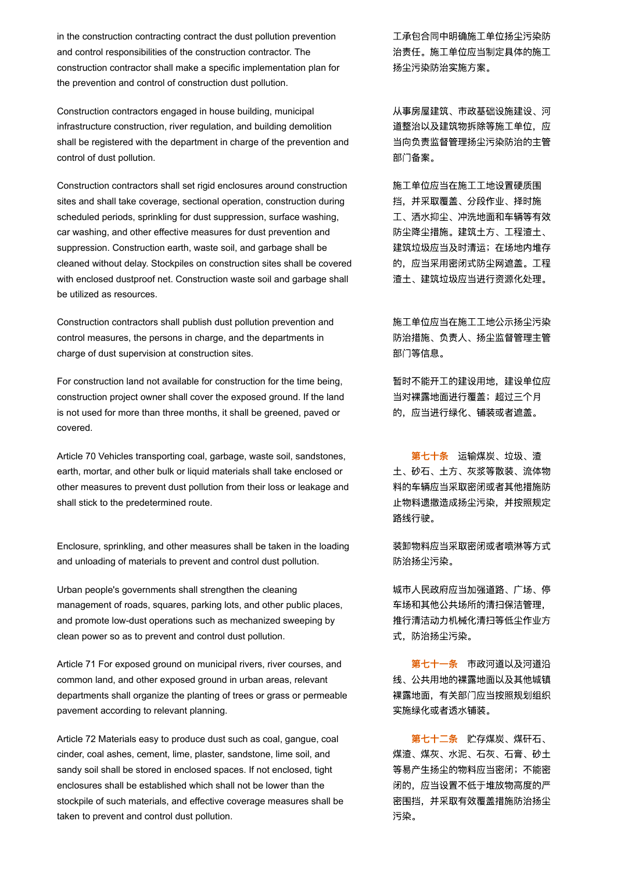in the construction contracting contract the dust pollution prevention and control responsibilities of the construction contractor. The construction contractor shall make a specific implementation plan for the prevention and control of construction dust pollution.

Construction contractors engaged in house building, municipal infrastructure construction, river regulation, and building demolition shall be registered with the department in charge of the prevention and control of dust pollution.

Construction contractors shall set rigid enclosures around construction sites and shall take coverage, sectional operation, construction during scheduled periods, sprinkling for dust suppression, surface washing, car washing, and other effective measures for dust prevention and suppression. Construction earth, waste soil, and garbage shall be cleaned without delay. Stockpiles on construction sites shall be covered with enclosed dustproof net. Construction waste soil and garbage shall be utilized as resources.

Construction contractors shall publish dust pollution prevention and control measures, the persons in charge, and the departments in charge of dust supervision at construction sites.

For construction land not available for construction for the time being, construction project owner shall cover the exposed ground. If the land is not used for more than three months, it shall be greened, paved or covered.

Article 70 Vehicles transporting coal, garbage, waste soil, sandstones, earth, mortar, and other bulk or liquid materials shall take enclosed or other measures to prevent dust pollution from their loss or leakage and shall stick to the predetermined route.

Enclosure, sprinkling, and other measures shall be taken in the loading and unloading of materials to prevent and control dust pollution.

Urban people's governments shall strengthen the cleaning management of roads, squares, parking lots, and other public places, and promote low-dust operations such as mechanized sweeping by clean power so as to prevent and control dust pollution.

Article 71 For exposed ground on municipal rivers, river courses, and common land, and other exposed ground in urban areas, relevant departments shall organize the planting of trees or grass or permeable pavement according to relevant planning.

Article 72 Materials easy to produce dust such as coal, gangue, coal cinder, coal ashes, cement, lime, plaster, sandstone, lime soil, and sandy soil shall be stored in enclosed spaces. If not enclosed, tight enclosures shall be established which shall not be lower than the stockpile of such materials, and effective coverage measures shall be taken to prevent and control dust pollution.

工承包合同中明确施工单位扬尘污染防 治责任。施工单位应当制定具体的施工 扬尘污染防治实施方案。

从事房屋建筑、市政基础设施建设、河 道整治以及建筑物拆除等施工单位,应 当向负责监督管理扬尘污染防治的主管 部门备案。

施工单位应当在施工工地设置硬质围 挡,并采取覆盖、分段作业、择时施 工、洒水抑尘、冲洗地面和车辆等有效 防尘降尘措施。建筑土方、工程渣土、 建筑垃圾应当及时清运;在场地内堆存 的,应当采用密闭式防尘网遮盖。工程 渣土、建筑垃圾应当进行资源化处理。

施工单位应当在施工工地公示扬尘污染 防治措施、负责人、扬尘监督管理主管 部门等信息。

暂时不能开工的建设用地,建设单位应 当对裸露地面进行覆盖;超过三个月 的,应当进行绿化、铺装或者遮盖。

第七十条 运输煤炭、垃圾、渣 土、砂石、土方、灰浆等散装、流体物 料的车辆应当采取密闭或者其他措施防 止物料遗撒造成扬尘污染,并按照规定 路线行驶。

装卸物料应当采取密闭或者喷淋等方式 防治扬尘污染。

城市人民政府应当加强道路、广场、停 车场和其他公共场所的清扫保洁管理, 推行清洁动力机械化清扫等低尘作业方 式,防治扬尘污染。

第七十一条 市政河道以及河道沿 线、公共用地的裸露地面以及其他城镇 裸露地面,有关部门应当按照规划组织 实施绿化或者透水铺装。

第七十二条 贮存煤炭、煤矸石、 煤渣、煤灰、水泥、石灰、石膏、砂土 等易产生扬尘的物料应当密闭;不能密 闭的,应当设置不低于堆放物高度的严 密围挡,并采取有效覆盖措施防治扬尘 污染。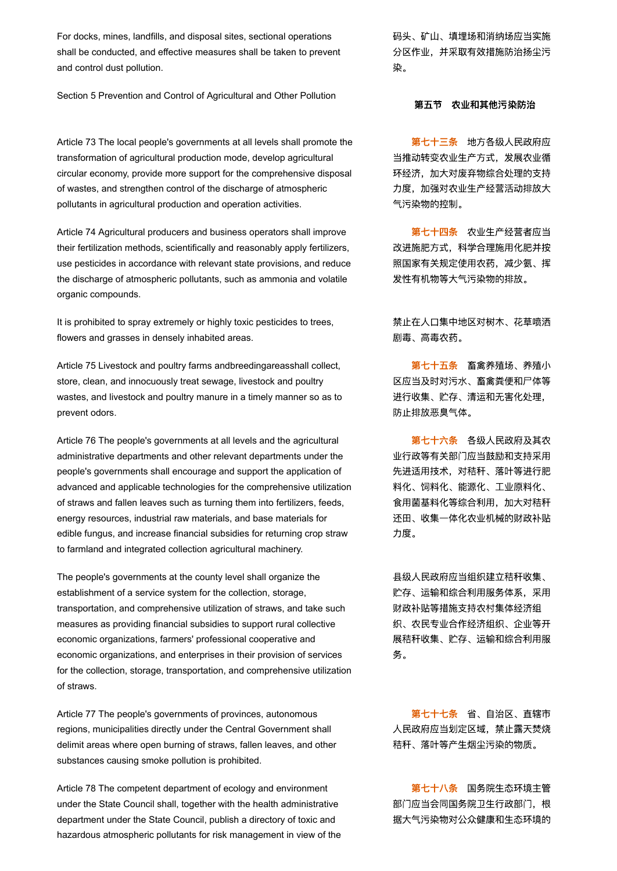For docks, mines, landfills, and disposal sites, sectional operations shall be conducted, and effective measures shall be taken to prevent and control dust pollution.

Section 5 Prevention and Control of Agricultural and Other Pollution

Article 73 The local people's governments at all levels shall promote the transformation of agricultural production mode, develop agricultural circular economy, provide more support for the comprehensive disposal of wastes, and strengthen control of the discharge of atmospheric pollutants in agricultural production and operation activities.

Article 74 Agricultural producers and business operators shall improve their fertilization methods, scientifically and reasonably apply fertilizers, use pesticides in accordance with relevant state provisions, and reduce the discharge of atmospheric pollutants, such as ammonia and volatile organic compounds.

It is prohibited to spray extremely or highly toxic pesticides to trees, flowers and grasses in densely inhabited areas.

Article 75 Livestock and poultry farms andbreedingareasshall collect, store, clean, and innocuously treat sewage, livestock and poultry wastes, and livestock and poultry manure in a timely manner so as to prevent odors.

Article 76 The people's governments at all levels and the agricultural administrative departments and other relevant departments under the people's governments shall encourage and support the application of advanced and applicable technologies for the comprehensive utilization of straws and fallen leaves such as turning them into fertilizers, feeds, energy resources, industrial raw materials, and base materials for edible fungus, and increase financial subsidies for returning crop straw to farmland and integrated collection agricultural machinery.

The people's governments at the county level shall organize the establishment of a service system for the collection, storage, transportation, and comprehensive utilization of straws, and take such measures as providing financial subsidies to support rural collective economic organizations, farmers' professional cooperative and economic organizations, and enterprises in their provision of services for the collection, storage, transportation, and comprehensive utilization of straws.

Article 77 The people's governments of provinces, autonomous regions, municipalities directly under the Central Government shall delimit areas where open burning of straws, fallen leaves, and other substances causing smoke pollution is prohibited.

Article 78 The competent department of ecology and environment under the State Council shall, together with the health administrative department under the State Council, publish a directory of toxic and hazardous atmospheric pollutants for risk management in view of the 码头、矿山、填埋场和消纳场应当实施 分区作业,并采取有效措施防治扬尘污 染。

#### 第五节 农业和其他污染防治

第七十三条 地方各级人民政府应 当推动转变农业生产方式,发展农业循 环经济,加大对废弃物综合处理的支持 力度,加强对农业生产经营活动排放大 气污染物的控制。

第七十四条 农业生产经营者应当 改进施肥方式,科学合理施用化肥并按 照国家有关规定使用农药,减少氨、挥 发性有机物等大气污染物的排放。

禁止在人口集中地区对树木、花草喷洒 剧毒、高毒农药。

第七十五条 畜禽养殖场、养殖小 区应当及时对污水、畜禽粪便和尸体等 进行收集、贮存、清运和无害化处理, 防止排放恶臭气体。

第七十六条 各级人民政府及其农 业行政等有关部门应当鼓励和支持采用 先进适用技术,对秸秆、落叶等进行肥 料化、饲料化、能源化、工业原料化、 食用菌基料化等综合利用,加大对秸秆 还田、收集一体化农业机械的财政补贴 力度。

县级人民政府应当组织建立秸秆收集、 贮存、运输和综合利用服务体系,采用 财政补贴等措施支持农村集体经济组 织、农民专业合作经济组织、企业等开 展秸秆收集、贮存、运输和综合利用服 务。

第七十七条 省、自治区、直辖市 人民政府应当划定区域,禁止露天焚烧 秸秆、落叶等产生烟尘污染的物质。

第七十八条 国务院生态环境主管 部门应当会同国务院卫生行政部门,根 据大气污染物对公众健康和生态环境的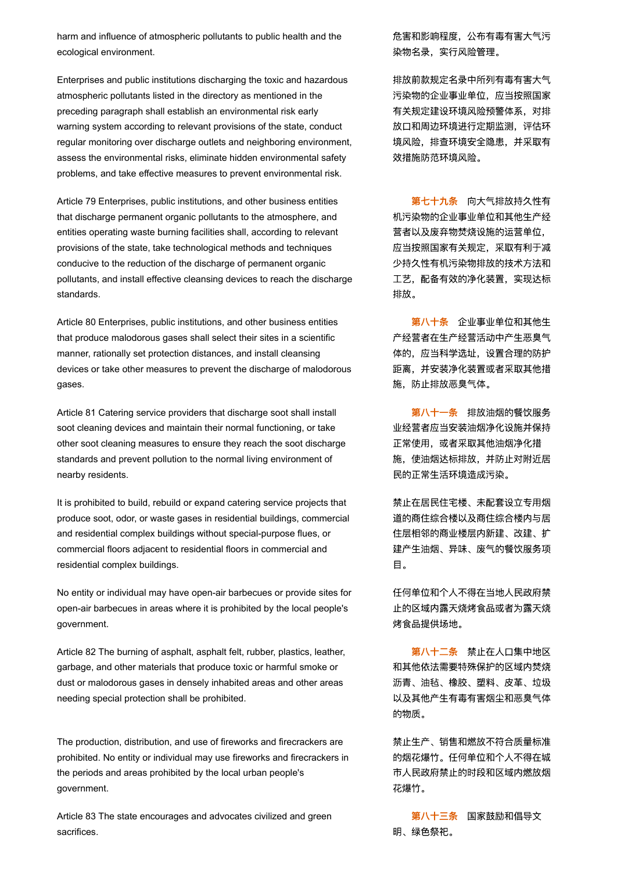harm and influence of atmospheric pollutants to public health and the ecological environment.

Enterprises and public institutions discharging the toxic and hazardous atmospheric pollutants listed in the directory as mentioned in the preceding paragraph shall establish an environmental risk early warning system according to relevant provisions of the state, conduct regular monitoring over discharge outlets and neighboring environment, assess the environmental risks, eliminate hidden environmental safety problems, and take effective measures to prevent environmental risk.

Article 79 Enterprises, public institutions, and other business entities that discharge permanent organic pollutants to the atmosphere, and entities operating waste burning facilities shall, according to relevant provisions of the state, take technological methods and techniques conducive to the reduction of the discharge of permanent organic pollutants, and install effective cleansing devices to reach the discharge standards.

Article 80 Enterprises, public institutions, and other business entities that produce malodorous gases shall select their sites in a scientific manner, rationally set protection distances, and install cleansing devices or take other measures to prevent the discharge of malodorous gases.

Article 81 Catering service providers that discharge soot shall install soot cleaning devices and maintain their normal functioning, or take other soot cleaning measures to ensure they reach the soot discharge standards and prevent pollution to the normal living environment of nearby residents.

It is prohibited to build, rebuild or expand catering service projects that produce soot, odor, or waste gases in residential buildings, commercial and residential complex buildings without special-purpose flues, or commercial floors adjacent to residential floors in commercial and residential complex buildings.

No entity or individual may have open-air barbecues or provide sites for open-air barbecues in areas where it is prohibited by the local people's government.

Article 82 The burning of asphalt, asphalt felt, rubber, plastics, leather, garbage, and other materials that produce toxic or harmful smoke or dust or malodorous gases in densely inhabited areas and other areas needing special protection shall be prohibited.

The production, distribution, and use of fireworks and firecrackers are prohibited. No entity or individual may use fireworks and firecrackers in the periods and areas prohibited by the local urban people's government.

Article 83 The state encourages and advocates civilized and green sacrifices.

危害和影响程度,公布有毒有害大气污 染物名录,实行风险管理。

排放前款规定名录中所列有毒有害大气 污染物的企业事业单位,应当按照国家 有关规定建设环境风险预警体系,对排 放口和周边环境进行定期监测,评估环 境风险,排查环境安全隐患,并采取有 效措施防范环境风险。

第七十九条 向大气排放持久性有 机污染物的企业事业单位和其他生产经 营者以及废弃物焚烧设施的运营单位, 应当按照国家有关规定,采取有利于减 少持久性有机污染物排放的技术方法和 工艺,配备有效的净化装置,实现达标 排放。

第八十条 企业事业单位和其他生 产经营者在生产经营活动中产生恶臭气 体的,应当科学选址,设置合理的防护 距离,并安装净化装置或者采取其他措 施,防止排放恶臭气体。

第八十一条 排放油烟的餐饮服务 业经营者应当安装油烟净化设施并保持 正常使用,或者采取其他油烟净化措 施,使油烟达标排放,并防止对附近居 民的正常生活环境造成污染。

禁止在居民住宅楼、未配套设立专用烟 道的商住综合楼以及商住综合楼内与居 住层相邻的商业楼层内新建、改建、扩 建产生油烟、异味、废气的餐饮服务项 目。

任何单位和个人不得在当地人民政府禁 止的区域内露天烧烤食品或者为露天烧 烤食品提供场地。

第八十二条 禁止在人口集中地区 和其他依法需要特殊保护的区域内焚烧 沥青、油毡、橡胶、塑料、皮革、垃圾 以及其他产生有毒有害烟尘和恶臭气体 的物质。

禁止生产、销售和燃放不符合质量标准 的烟花爆竹。任何单位和个人不得在城 市人民政府禁止的时段和区域内燃放烟 花爆竹。

第八十三条 国家鼓励和倡导文 明、绿色祭祀。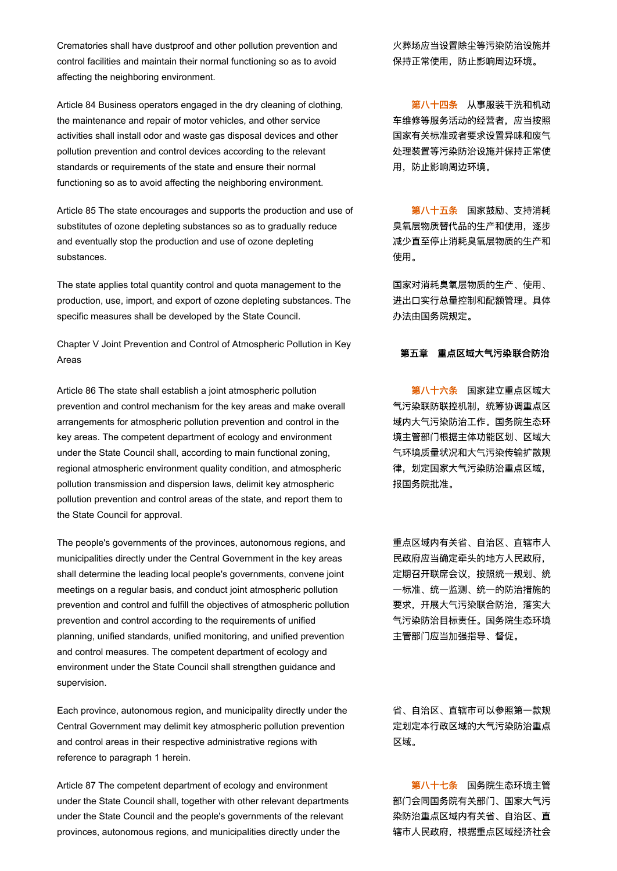Crematories shall have dustproof and other pollution prevention and control facilities and maintain their normal functioning so as to avoid affecting the neighboring environment.

Article 84 Business operators engaged in the dry cleaning of clothing, the maintenance and repair of motor vehicles, and other service activities shall install odor and waste gas disposal devices and other pollution prevention and control devices according to the relevant standards or requirements of the state and ensure their normal functioning so as to avoid affecting the neighboring environment.

Article 85 The state encourages and supports the production and use of substitutes of ozone depleting substances so as to gradually reduce and eventually stop the production and use of ozone depleting substances.

The state applies total quantity control and quota management to the production, use, import, and export of ozone depleting substances. The specific measures shall be developed by the State Council.

Chapter V Joint Prevention and Control of Atmospheric Pollution in Key Areas 第五章 重点区域大气污染联合防治<br>Areas

Article 86 The state shall establish a joint atmospheric pollution prevention and control mechanism for the key areas and make overall arrangements for atmospheric pollution prevention and control in the key areas. The competent department of ecology and environment under the State Council shall, according to main functional zoning, regional atmospheric environment quality condition, and atmospheric pollution transmission and dispersion laws, delimit key atmospheric pollution prevention and control areas of the state, and report them to the State Council for approval.

The people's governments of the provinces, autonomous regions, and municipalities directly under the Central Government in the key areas shall determine the leading local people's governments, convene joint meetings on a regular basis, and conduct joint atmospheric pollution prevention and control and fulfill the objectives of atmospheric pollution prevention and control according to the requirements of unified planning, unified standards, unified monitoring, and unified prevention and control measures. The competent department of ecology and environment under the State Council shall strengthen guidance and supervision.

Each province, autonomous region, and municipality directly under the Central Government may delimit key atmospheric pollution prevention and control areas in their respective administrative regions with reference to paragraph 1 herein.

Article 87 The competent department of ecology and environment under the State Council shall, together with other relevant departments under the State Council and the people's governments of the relevant provinces, autonomous regions, and municipalities directly under the

火葬场应当设置除尘等污染防治设施并 保持正常使用,防止影响周边环境。

第八十四条 从事服装干洗和机动 车维修等服务活动的经营者,应当按照 国家有关标准或者要求设置异味和废气 处理装置等污染防治设施并保持正常使 用,防止影响周边环境。

第八十五条 国家鼓励、支持消耗 臭氧层物质替代品的生产和使用,逐步 减少直至停止消耗臭氧层物质的生产和 使用。

国家对消耗臭氧层物质的生产、使用、 进出口实行总量控制和配额管理。具体 办法由国务院规定。

第八十六条 国家建立重点区域大 气污染联防联控机制,统筹协调重点区 域内大气污染防治工作。国务院生态环 境主管部门根据主体功能区划、区域大 气环境质量状况和大气污染传输扩散规 律,划定国家大气污染防治重点区域, 报国务院批准。

重点区域内有关省、自治区、直辖市人 民政府应当确定牵头的地方人民政府, 定期召开联席会议,按照统一规划、统 一标准、统一监测、统一的防治措施的 要求,开展大气污染联合防治,落实大 气污染防治目标责任。国务院生态环境 主管部门应当加强指导、督促。

省、自治区、直辖市可以参照第一款规 定划定本行政区域的大气污染防治重点 区域。

第八十七条 国务院生态环境主管 部门会同国务院有关部门、国家大气污 染防治重点区域内有关省、自治区、直 辖市人民政府,根据重点区域经济社会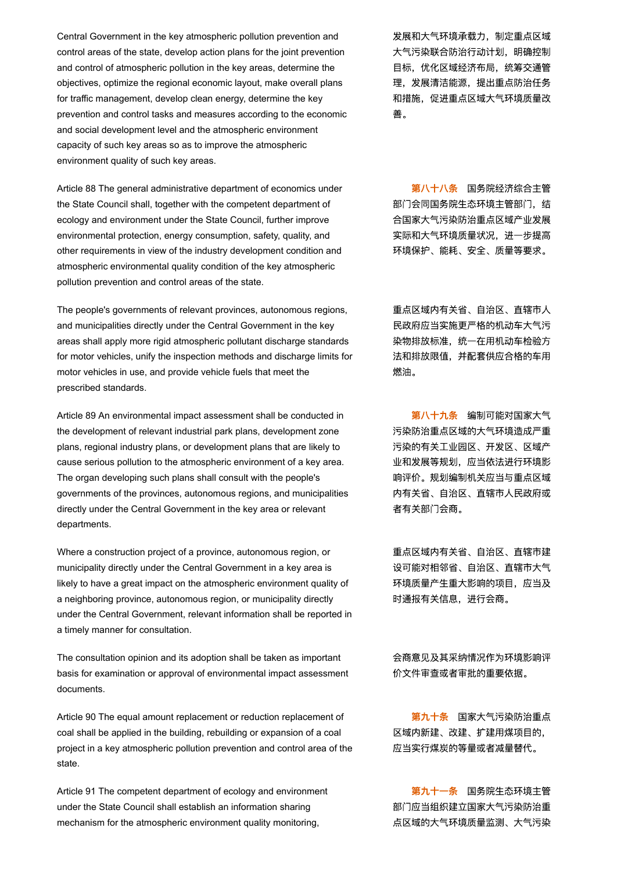Central Government in the key atmospheric pollution prevention and control areas of the state, develop action plans for the joint prevention and control of atmospheric pollution in the key areas, determine the objectives, optimize the regional economic layout, make overall plans for traffic management, develop clean energy, determine the key prevention and control tasks and measures according to the economic and social development level and the atmospheric environment capacity of such key areas so as to improve the atmospheric environment quality of such key areas.

Article 88 The general administrative department of economics under the State Council shall, together with the competent department of ecology and environment under the State Council, further improve environmental protection, energy consumption, safety, quality, and other requirements in view of the industry development condition and atmospheric environmental quality condition of the key atmospheric pollution prevention and control areas of the state.

The people's governments of relevant provinces, autonomous regions, and municipalities directly under the Central Government in the key areas shall apply more rigid atmospheric pollutant discharge standards for motor vehicles, unify the inspection methods and discharge limits for motor vehicles in use, and provide vehicle fuels that meet the prescribed standards.

Article 89 An environmental impact assessment shall be conducted in the development of relevant industrial park plans, development zone plans, regional industry plans, or development plans that are likely to cause serious pollution to the atmospheric environment of a key area. The organ developing such plans shall consult with the people's governments of the provinces, autonomous regions, and municipalities directly under the Central Government in the key area or relevant departments.

Where a construction project of a province, autonomous region, or municipality directly under the Central Government in a key area is likely to have a great impact on the atmospheric environment quality of a neighboring province, autonomous region, or municipality directly under the Central Government, relevant information shall be reported in a timely manner for consultation.

The consultation opinion and its adoption shall be taken as important basis for examination or approval of environmental impact assessment documents.

Article 90 The equal amount replacement or reduction replacement of coal shall be applied in the building, rebuilding or expansion of a coal project in a key atmospheric pollution prevention and control area of the state.

Article 91 The competent department of ecology and environment under the State Council shall establish an information sharing mechanism for the atmospheric environment quality monitoring,

发展和大气环境承载力,制定重点区域 大气污染联合防治行动计划,明确控制 目标,优化区域经济布局,统筹交通管 理,发展清洁能源,提出重点防治任务 和措施,促进重点区域大气环境质量改 善。

第八十八条 国务院经济综合主管 部门会同国务院生态环境主管部门,结 合国家大气污染防治重点区域产业发展 实际和大气环境质量状况,进一步提高 环境保护、能耗、安全、质量等要求。

重点区域内有关省、自治区、直辖市人 民政府应当实施更严格的机动车大气污 染物排放标准,统一在用机动车检验方 法和排放限值,并配套供应合格的车用 燃油。

第八十九条 编制可能对国家大气 污染防治重点区域的大气环境造成严重 污染的有关工业园区、开发区、区域产 业和发展等规划,应当依法进行环境影 响评价。规划编制机关应当与重点区域 内有关省、自治区、直辖市人民政府或 者有关部门会商。

重点区域内有关省、自治区、直辖市建 设可能对相邻省、自治区、直辖市大气 环境质量产生重大影响的项目,应当及 时通报有关信息,进行会商。

会商意见及其采纳情况作为环境影响评 价文件审查或者审批的重要依据。

第九十条 国家大气污染防治重点 区域内新建、改建、扩建用煤项目的, 应当实行煤炭的等量或者减量替代。

第九十一条 国务院生态环境主管 部门应当组织建立国家大气污染防治重 点区域的大气环境质量监测、大气污染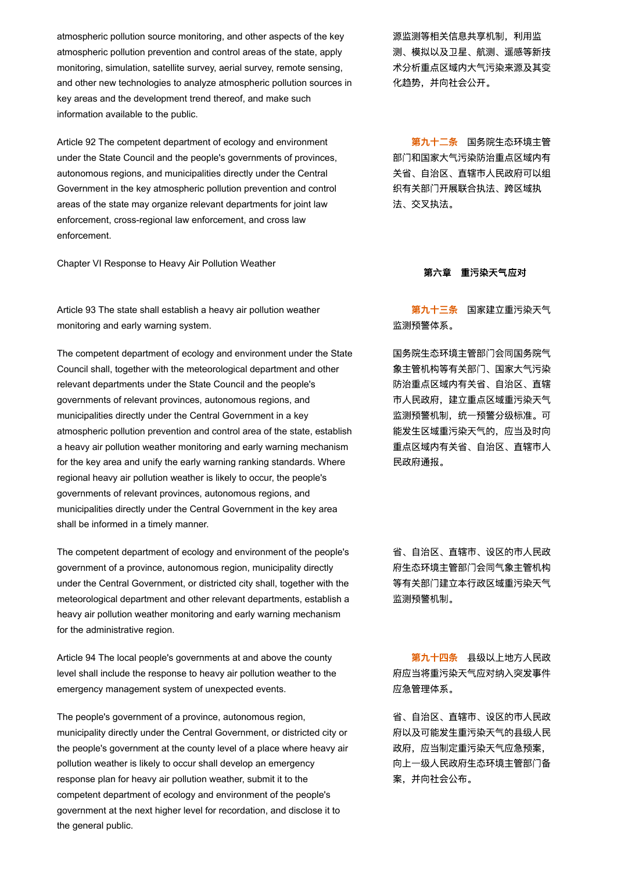atmospheric pollution source monitoring, and other aspects of the key atmospheric pollution prevention and control areas of the state, apply monitoring, simulation, satellite survey, aerial survey, remote sensing, and other new technologies to analyze atmospheric pollution sources in key areas and the development trend thereof, and make such information available to the public.

Article 92 The competent department of ecology and environment under the State Council and the people's governments of provinces, autonomous regions, and municipalities directly under the Central Government in the key atmospheric pollution prevention and control areas of the state may organize relevant departments for joint law enforcement, cross-regional law enforcement, and cross law enforcement.

Chapter VI Response to Heavy Air Pollution Weather

Article 93 The state shall establish a heavy air pollution weather monitoring and early warning system.

The competent department of ecology and environment under the State Council shall, together with the meteorological department and other relevant departments under the State Council and the people's governments of relevant provinces, autonomous regions, and municipalities directly under the Central Government in a key atmospheric pollution prevention and control area of the state, establish a heavy air pollution weather monitoring and early warning mechanism for the key area and unify the early warning ranking standards. Where regional heavy air pollution weather is likely to occur, the people's governments of relevant provinces, autonomous regions, and municipalities directly under the Central Government in the key area shall be informed in a timely manner.

The competent department of ecology and environment of the people's government of a province, autonomous region, municipality directly under the Central Government, or districted city shall, together with the meteorological department and other relevant departments, establish a heavy air pollution weather monitoring and early warning mechanism for the administrative region.

Article 94 The local people's governments at and above the county level shall include the response to heavy air pollution weather to the emergency management system of unexpected events.

The people's government of a province, autonomous region, municipality directly under the Central Government, or districted city or the people's government at the county level of a place where heavy air pollution weather is likely to occur shall develop an emergency response plan for heavy air pollution weather, submit it to the competent department of ecology and environment of the people's government at the next higher level for recordation, and disclose it to the general public.

源监测等相关信息共享机制,利用监 测、模拟以及卫星、航测、遥感等新技 术分析重点区域内大气污染来源及其变 化趋势,并向社会公开。

第九十二条 国务院生态环境主管 部门和国家大气污染防治重点区域内有 关省、自治区、直辖市人民政府可以组 织有关部门开展联合执法、跨区域执 法、交叉执法。

#### 第六章 重污染天气应对

第九十三条 国家建立重污染天气 监测预警体系。

国务院生态环境主管部门会同国务院气 象主管机构等有关部门、国家大气污染 防治重点区域内有关省、自治区、直辖 市人民政府,建立重点区域重污染天气 监测预警机制,统一预警分级标准。可 能发生区域重污染天气的,应当及时向 重点区域内有关省、自治区、直辖市人 民政府通报。

省、自治区、直辖市、设区的市人民政 府生态环境主管部门会同气象主管机构 等有关部门建立本行政区域重污染天气 监测预警机制。

第九十四条 县级以上地方人民政 府应当将重污染天气应对纳入突发事件 应急管理体系。

省、自治区、直辖市、设区的市人民政 府以及可能发生重污染天气的县级人民 政府, 应当制定重污染天气应急预案, 向上一级人民政府生态环境主管部门备 案,并向社会公布。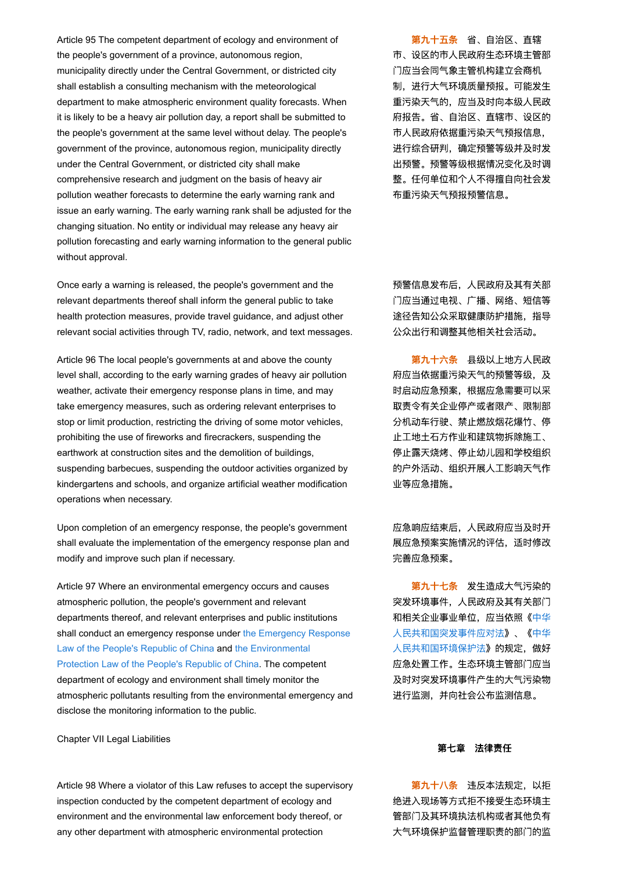Article 95 The competent department of ecology and environment of the people's government of a province, autonomous region, municipality directly under the Central Government, or districted city shall establish a consulting mechanism with the meteorological department to make atmospheric environment quality forecasts. When it is likely to be a heavy air pollution day, a report shall be submitted to the people's government at the same level without delay. The people's government of the province, autonomous region, municipality directly under the Central Government, or districted city shall make comprehensive research and judgment on the basis of heavy air pollution weather forecasts to determine the early warning rank and issue an early warning. The early warning rank shall be adjusted for the changing situation. No entity or individual may release any heavy air pollution forecasting and early warning information to the general public without approval.

Once early a warning is released, the people's government and the relevant departments thereof shall inform the general public to take health protection measures, provide travel guidance, and adjust other relevant social activities through TV, radio, network, and text messages.

Article 96 The local people's governments at and above the county level shall, according to the early warning grades of heavy air pollution weather, activate their emergency response plans in time, and may take emergency measures, such as ordering relevant enterprises to stop or limit production, restricting the driving of some motor vehicles, prohibiting the use of fireworks and firecrackers, suspending the earthwork at construction sites and the demolition of buildings, suspending barbecues, suspending the outdoor activities organized by kindergartens and schools, and organize artificial weather modification operations when necessary.

Upon completion of an emergency response, the people's government shall evaluate the implementation of the emergency response plan and modify and improve such plan if necessary.

Article 97 Where an environmental emergency occurs and causes atmospheric pollution, the people's government and relevant departments thereof, and relevant enterprises and public institutions [shall conduct an emergency response under the Emergency Response](javascript:ESLC(96791,0)) Law of the People's Republic of China and the Environmental [Protection Law of the People's Republic of China. The compet](javascript:ESLC(223979,0))ent department of ecology and environment shall timely monitor the atmospheric pollutants resulting from the environmental emergency and disclose the monitoring information to the public.

Chapter VII Legal Liabilities

Article 98 Where a violator of this Law refuses to accept the supervisory inspection conducted by the competent department of ecology and environment and the environmental law enforcement body thereof, or any other department with atmospheric environmental protection

第九十五条 省、自治区、直辖 市、设区的市人民政府生态环境主管部 门应当会同气象主管机构建立会商机 制,进行大气环境质量预报。可能发生 重污染天气的,应当及时向本级人民政 府报告。省、自治区、直辖市、设区的 市人民政府依据重污染天气预报信息, 进行综合研判,确定预警等级并及时发 出预警。预警等级根据情况变化及时调 整。任何单位和个人不得擅自向社会发 布重污染天气预报预警信息。

预警信息发布后,人民政府及其有关部 门应当通过电视、广播、网络、短信等 途径告知公众采取健康防护措施,指导 公众出行和调整其他相关社会活动。

第九十六条 县级以上地方人民政 府应当依据重污染天气的预警等级,及 时启动应急预案,根据应急需要可以采 取责令有关企业停产或者限产、限制部 分机动车行驶、禁止燃放烟花爆竹、停 止工地土石方作业和建筑物拆除施工、 停止露天烧烤、停止幼儿园和学校组织 的户外活动、组织开展人工影响天气作 业等应急措施。

应急响应结束后,人民政府应当及时开 展应急预案实施情况的评估,适时修改 完善应急预案。

第九十七条 发生造成大气污染的 突发环境事件,人民政府及其有关部门 [和相关企业事业单位,应当依照《中华](javascript:SLC(96791,0)) 人民共和国突发事件应对法》、《中华 [人民共和国环境保护法》的规定,做好](javascript:SLC(223979,0)) 应急处置工作。生态环境主管部门应当 及时对突发环境事件产生的大气污染物 进行监测,并向社会公布监测信息。

#### 第七章 法律责任

第九十八条 违反本法规定,以拒 绝进入现场等方式拒不接受生态环境主 管部门及其环境执法机构或者其他负有 大气环境保护监督管理职责的部门的监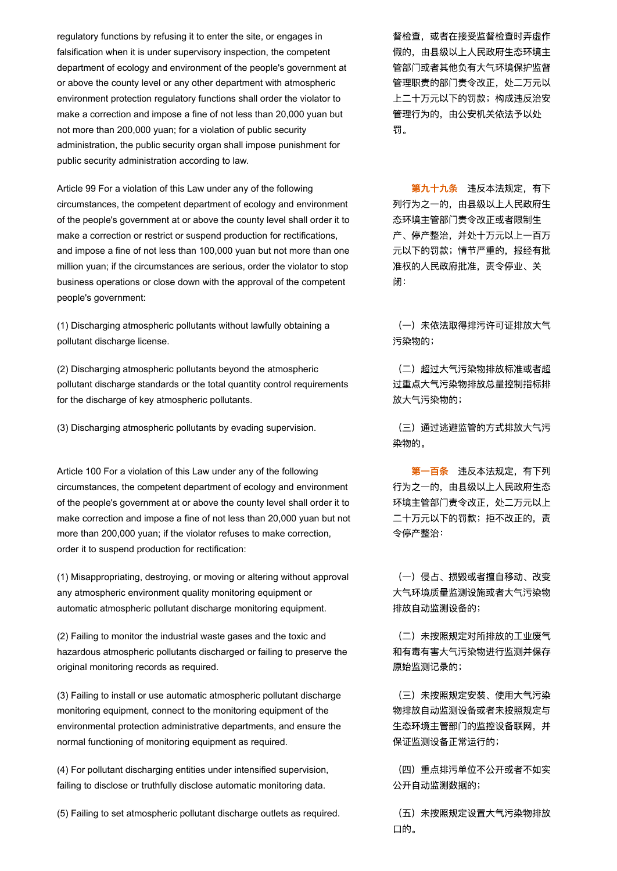regulatory functions by refusing it to enter the site, or engages in falsification when it is under supervisory inspection, the competent department of ecology and environment of the people's government at or above the county level or any other department with atmospheric environment protection regulatory functions shall order the violator to make a correction and impose a fine of not less than 20,000 yuan but not more than 200,000 yuan; for a violation of public security administration, the public security organ shall impose punishment for public security administration according to law.

Article 99 For a violation of this Law under any of the following circumstances, the competent department of ecology and environment of the people's government at or above the county level shall order it to make a correction or restrict or suspend production for rectifications, and impose a fine of not less than 100,000 yuan but not more than one million yuan; if the circumstances are serious, order the violator to stop business operations or close down with the approval of the competent people's government:

(1) Discharging atmospheric pollutants without lawfully obtaining a pollutant discharge license.

(2) Discharging atmospheric pollutants beyond the atmospheric pollutant discharge standards or the total quantity control requirements for the discharge of key atmospheric pollutants.

(3) Discharging atmospheric pollutants by evading supervision. <br>
(三) 通过逃避监管的方式排放大气污

Article 100 For a violation of this Law under any of the following circumstances, the competent department of ecology and environment of the people's government at or above the county level shall order it to make correction and impose a fine of not less than 20,000 yuan but not more than 200,000 yuan; if the violator refuses to make correction, order it to suspend production for rectification:

(1) Misappropriating, destroying, or moving or altering without approval any atmospheric environment quality monitoring equipment or automatic atmospheric pollutant discharge monitoring equipment.

(2) Failing to monitor the industrial waste gases and the toxic and hazardous atmospheric pollutants discharged or failing to preserve the original monitoring records as required.

(3) Failing to install or use automatic atmospheric pollutant discharge monitoring equipment, connect to the monitoring equipment of the environmental protection administrative departments, and ensure the normal functioning of monitoring equipment as required.

(4) For pollutant discharging entities under intensified supervision, failing to disclose or truthfully disclose automatic monitoring data.

(5) Failing to set atmospheric pollutant discharge outlets as required. (五)未按照规定设置大气污染物排放

督检查,或者在接受监督检查时弄虚作 假的,由县级以上人民政府生态环境主 管部门或者其他负有大气环境保护监督 管理职责的部门责令改正,处二万元以 上二十万元以下的罚款;构成违反治安 管理行为的,由公安机关依法予以处 罚。

第九十九条 违反本法规定,有下 列行为之一的,由县级以上人民政府生 态环境主管部门责令改正或者限制生 产、停产整治,并处十万元以上一百万 元以下的罚款;情节严重的,报经有批 准权的人民政府批准,责令停业、关 闭:

(一)未依法取得排污许可证排放大气 污染物的;

(二)超过大气污染物排放标准或者超 过重点大气污染物排放总量控制指标排 放大气污染物的;

染物的。

第一百条 违反本法规定,有下列 行为之一的,由县级以上人民政府生态 环境主管部门责令改正,处二万元以上 二十万元以下的罚款;拒不改正的,责 令停产整治:

(一)侵占、损毁或者擅自移动、改变 大气环境质量监测设施或者大气污染物 排放自动监测设备的;

(二)未按照规定对所排放的工业废气 和有毒有害大气污染物进行监测并保存 原始监测记录的;

(三)未按照规定安装、使用大气污染 物排放自动监测设备或者未按照规定与 生态环境主管部门的监控设备联网,并 保证监测设备正常运行的;

(四)重点排污单位不公开或者不如实 公开自动监测数据的;

口的。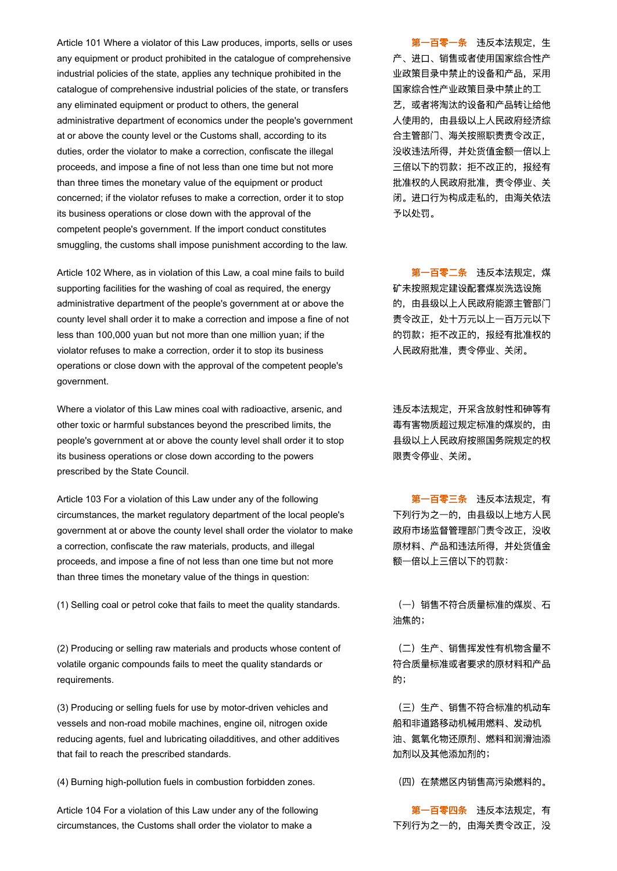Article 101 Where a violator of this Law produces, imports, sells or uses any equipment or product prohibited in the catalogue of comprehensive industrial policies of the state, applies any technique prohibited in the catalogue of comprehensive industrial policies of the state, or transfers any eliminated equipment or product to others, the general administrative department of economics under the people's government at or above the county level or the Customs shall, according to its duties, order the violator to make a correction, confiscate the illegal proceeds, and impose a fine of not less than one time but not more than three times the monetary value of the equipment or product concerned; if the violator refuses to make a correction, order it to stop its business operations or close down with the approval of the competent people's government. If the import conduct constitutes smuggling, the customs shall impose punishment according to the law.

Article 102 Where, as in violation of this Law, a coal mine fails to build supporting facilities for the washing of coal as required, the energy administrative department of the people's government at or above the county level shall order it to make a correction and impose a fine of not less than 100,000 yuan but not more than one million yuan; if the violator refuses to make a correction, order it to stop its business operations or close down with the approval of the competent people's government.

Where a violator of this Law mines coal with radioactive, arsenic, and other toxic or harmful substances beyond the prescribed limits, the people's government at or above the county level shall order it to stop its business operations or close down according to the powers prescribed by the State Council.

Article 103 For a violation of this Law under any of the following circumstances, the market regulatory department of the local people's government at or above the county level shall order the violator to make a correction, confiscate the raw materials, products, and illegal proceeds, and impose a fine of not less than one time but not more than three times the monetary value of the things in question:

(1) Selling coal or petrol coke that fails to meet the quality standards. (一) 销售不符合质量标准的煤炭、石

(2) Producing or selling raw materials and products whose content of volatile organic compounds fails to meet the quality standards or requirements.

(3) Producing or selling fuels for use by motor-driven vehicles and vessels and non-road mobile machines, engine oil, nitrogen oxide reducing agents, fuel and lubricating oiladditives, and other additives that fail to reach the prescribed standards.

(4) Burning high-pollution fuels in combustion forbidden zones. (四)在禁燃区内销售高污染燃料的。

Article 104 For a violation of this Law under any of the following circumstances, the Customs shall order the violator to make a

第一百零一条 讳反本法规定,生 产、进口、销售或者使用国家综合性产 业政策目录中禁止的设备和产品,采用 国家综合性产业政策目录中禁止的工 艺,或者将淘汰的设备和产品转让给他 人使用的,由县级以上人民政府经济综 合主管部门、海关按照职责责令改正, 没收违法所得,并处货值金额一倍以上 三倍以下的罚款;拒不改正的,报经有 批准权的人民政府批准,责令停业、关 闭。进口行为构成走私的,由海关依法 予以处罚。

第一百零二条 违反本法规定, 煤 矿未按照规定建设配套煤炭洗选设施 的,由县级以上人民政府能源主管部门 责令改正,处十万元以上一百万元以下 的罚款;拒不改正的,报经有批准权的 人民政府批准,责令停业、关闭。

违反本法规定,开采含放射性和砷等有 毒有害物质超过规定标准的煤炭的,由 县级以上人民政府按照国务院规定的权 限责令停业、关闭。

第一百零三条 讳反本法规定, 有 下列行为之一的,由县级以上地方人民 政府市场监督管理部门责令改正,没收 原材料、产品和违法所得,并处货值金 额一倍以上三倍以下的罚款:

油焦的;

(二)生产、销售挥发性有机物含量不 符合质量标准或者要求的原材料和产品 的;

(三)生产、销售不符合标准的机动车 船和非道路移动机械用燃料、发动机 油、氮氧化物还原剂、燃料和润滑油添 加剂以及其他添加剂的;

第一百零四条 违反本法规定,有 下列行为之一的,由海关责令改正,没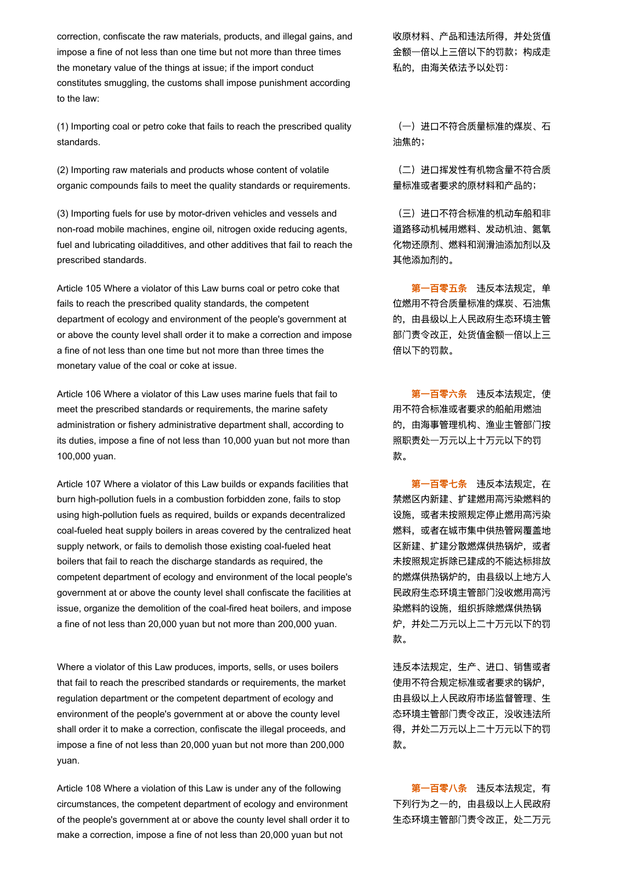correction, confiscate the raw materials, products, and illegal gains, and impose a fine of not less than one time but not more than three times the monetary value of the things at issue; if the import conduct constitutes smuggling, the customs shall impose punishment according to the law:

(1) Importing coal or petro coke that fails to reach the prescribed quality standards.

(2) Importing raw materials and products whose content of volatile organic compounds fails to meet the quality standards or requirements.

(3) Importing fuels for use by motor-driven vehicles and vessels and non-road mobile machines, engine oil, nitrogen oxide reducing agents, fuel and lubricating oiladditives, and other additives that fail to reach the prescribed standards.

Article 105 Where a violator of this Law burns coal or petro coke that fails to reach the prescribed quality standards, the competent department of ecology and environment of the people's government at or above the county level shall order it to make a correction and impose a fine of not less than one time but not more than three times the monetary value of the coal or coke at issue.

Article 106 Where a violator of this Law uses marine fuels that fail to meet the prescribed standards or requirements, the marine safety administration or fishery administrative department shall, according to its duties, impose a fine of not less than 10,000 yuan but not more than 100,000 yuan.

Article 107 Where a violator of this Law builds or expands facilities that burn high-pollution fuels in a combustion forbidden zone, fails to stop using high-pollution fuels as required, builds or expands decentralized coal-fueled heat supply boilers in areas covered by the centralized heat supply network, or fails to demolish those existing coal-fueled heat boilers that fail to reach the discharge standards as required, the competent department of ecology and environment of the local people's government at or above the county level shall confiscate the facilities at issue, organize the demolition of the coal-fired heat boilers, and impose a fine of not less than 20,000 yuan but not more than 200,000 yuan.

Where a violator of this Law produces, imports, sells, or uses boilers that fail to reach the prescribed standards or requirements, the market regulation department or the competent department of ecology and environment of the people's government at or above the county level shall order it to make a correction, confiscate the illegal proceeds, and impose a fine of not less than 20,000 yuan but not more than 200,000 yuan.

Article 108 Where a violation of this Law is under any of the following circumstances, the competent department of ecology and environment of the people's government at or above the county level shall order it to make a correction, impose a fine of not less than 20,000 yuan but not

收原材料、产品和违法所得,并处货值 金额一倍以上三倍以下的罚款;构成走 私的,由海关依法予以处罚:

(一)进口不符合质量标准的煤炭、石 油焦的;

(二)进口挥发性有机物含量不符合质 量标准或者要求的原材料和产品的;

(三)进口不符合标准的机动车船和非 道路移动机械用燃料、发动机油、氮氧 化物还原剂、燃料和润滑油添加剂以及 其他添加剂的。

第一百零五条 讳反本法规定,单 位燃用不符合质量标准的煤炭、石油焦 的,由县级以上人民政府生态环境主管 部门责令改正,处货值金额一倍以上三 倍以下的罚款。

第一百零六条 违反本法规定, 使 用不符合标准或者要求的船舶用燃油 的,由海事管理机构、渔业主管部门按 照职责处一万元以上十万元以下的罚 款。

第一百零七条 违反本法规定, 在 禁燃区内新建、扩建燃用高污染燃料的 设施,或者未按照规定停止燃用高污染 燃料,或者在城市集中供热管网覆盖地 区新建、扩建分散燃煤供热锅炉,或者 未按照规定拆除已建成的不能达标排放 的燃煤供热锅炉的,由县级以上地方人 民政府生态环境主管部门没收燃用高污 染燃料的设施,组织拆除燃煤供热锅 炉,并处二万元以上二十万元以下的罚 款。

违反本法规定,生产、进口、销售或者 使用不符合规定标准或者要求的锅炉, 由县级以上人民政府市场监督管理、生 态环境主管部门责令改正,没收违法所 得,并处二万元以上二十万元以下的罚 款。

第一百零八条 违反本法规定,有 下列行为之一的,由县级以上人民政府 生态环境主管部门责令改正,处二万元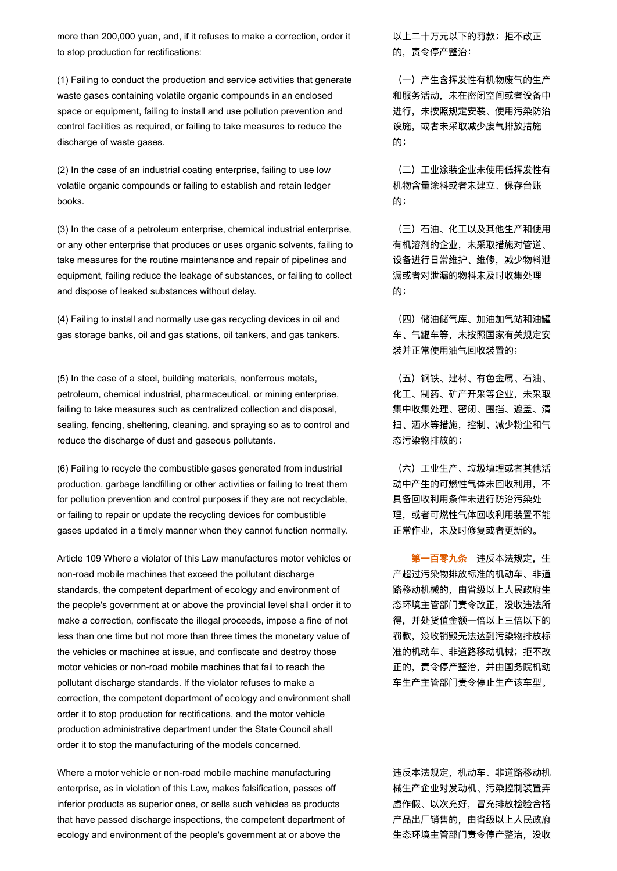more than 200,000 yuan, and, if it refuses to make a correction, order it to stop production for rectifications:

(1) Failing to conduct the production and service activities that generate waste gases containing volatile organic compounds in an enclosed space or equipment, failing to install and use pollution prevention and control facilities as required, or failing to take measures to reduce the discharge of waste gases.

(2) In the case of an industrial coating enterprise, failing to use low volatile organic compounds or failing to establish and retain ledger books.

(3) In the case of a petroleum enterprise, chemical industrial enterprise, or any other enterprise that produces or uses organic solvents, failing to take measures for the routine maintenance and repair of pipelines and equipment, failing reduce the leakage of substances, or failing to collect and dispose of leaked substances without delay.

(4) Failing to install and normally use gas recycling devices in oil and gas storage banks, oil and gas stations, oil tankers, and gas tankers.

(5) In the case of a steel, building materials, nonferrous metals, petroleum, chemical industrial, pharmaceutical, or mining enterprise, failing to take measures such as centralized collection and disposal, sealing, fencing, sheltering, cleaning, and spraying so as to control and reduce the discharge of dust and gaseous pollutants.

(6) Failing to recycle the combustible gases generated from industrial production, garbage landfilling or other activities or failing to treat them for pollution prevention and control purposes if they are not recyclable, or failing to repair or update the recycling devices for combustible gases updated in a timely manner when they cannot function normally.

Article 109 Where a violator of this Law manufactures motor vehicles or non-road mobile machines that exceed the pollutant discharge standards, the competent department of ecology and environment of the people's government at or above the provincial level shall order it to make a correction, confiscate the illegal proceeds, impose a fine of not less than one time but not more than three times the monetary value of the vehicles or machines at issue, and confiscate and destroy those motor vehicles or non-road mobile machines that fail to reach the pollutant discharge standards. If the violator refuses to make a correction, the competent department of ecology and environment shall order it to stop production for rectifications, and the motor vehicle production administrative department under the State Council shall order it to stop the manufacturing of the models concerned.

Where a motor vehicle or non-road mobile machine manufacturing enterprise, as in violation of this Law, makes falsification, passes off inferior products as superior ones, or sells such vehicles as products that have passed discharge inspections, the competent department of ecology and environment of the people's government at or above the

以上二十万元以下的罚款;拒不改正 的,责令停产整治:

(一)产生含挥发性有机物废气的生产 和服务活动,未在密闭空间或者设备中 进行,未按照规定安装、使用污染防治 设施,或者未采取减少废气排放措施 的;

(二)工业涂装企业未使用低挥发性有 机物含量涂料或者未建立、保存台账 的;

(三)石油、化工以及其他生产和使用 有机溶剂的企业,未采取措施对管道、 设备进行日常维护、维修,减少物料泄 漏或者对泄漏的物料未及时收集处理 的;

(四)储油储气库、加油加气站和油罐 车、气罐车等,未按照国家有关规定安 装并正常使用油气回收装置的;

(五)钢铁、建材、有色金属、石油、 化工、制药、矿产开采等企业,未采取 集中收集处理、密闭、围挡、遮盖、清 扫、洒水等措施,控制、减少粉尘和气 态污染物排放的;

(六)工业生产、垃圾填埋或者其他活 动中产生的可燃性气体未回收利用,不 具备回收利用条件未进行防治污染处 理,或者可燃性气体回收利用装置不能 正常作业,未及时修复或者更新的。

第一百零九条 违反本法规定,生 产超过污染物排放标准的机动车、非道 路移动机械的,由省级以上人民政府生 态环境主管部门责令改正,没收违法所 得,并处货值金额一倍以上三倍以下的 罚款,没收销毁无法达到污染物排放标 准的机动车、非道路移动机械;拒不改 正的,责令停产整治,并由国务院机动 车生产主管部门责令停止生产该车型。

违反本法规定,机动车、非道路移动机 械生产企业对发动机、污染控制装置弄 虚作假、以次充好,冒充排放检验合格 产品出厂销售的,由省级以上人民政府 生态环境主管部门责令停产整治,没收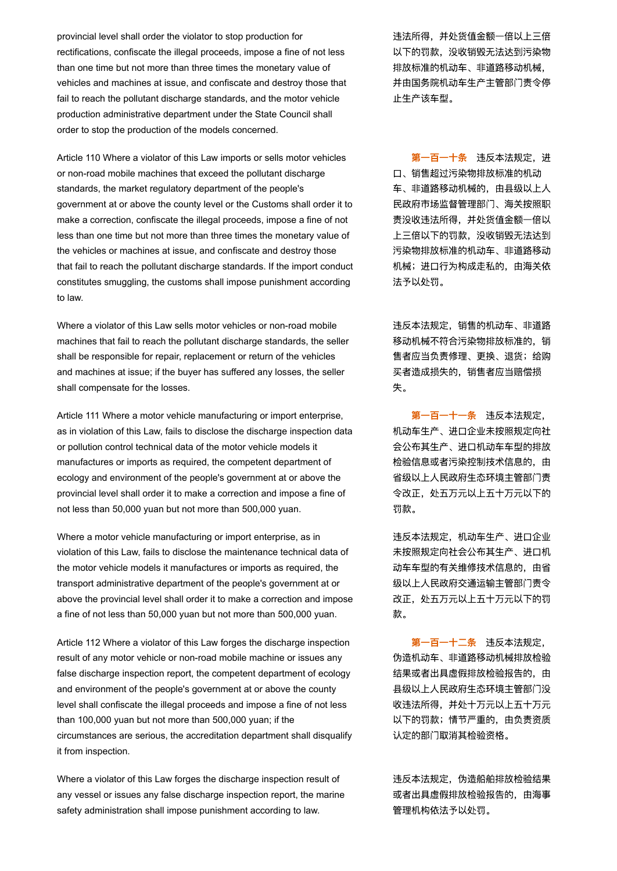provincial level shall order the violator to stop production for rectifications, confiscate the illegal proceeds, impose a fine of not less than one time but not more than three times the monetary value of vehicles and machines at issue, and confiscate and destroy those that fail to reach the pollutant discharge standards, and the motor vehicle production administrative department under the State Council shall order to stop the production of the models concerned.

Article 110 Where a violator of this Law imports or sells motor vehicles or non-road mobile machines that exceed the pollutant discharge standards, the market regulatory department of the people's government at or above the county level or the Customs shall order it to make a correction, confiscate the illegal proceeds, impose a fine of not less than one time but not more than three times the monetary value of the vehicles or machines at issue, and confiscate and destroy those that fail to reach the pollutant discharge standards. If the import conduct constitutes smuggling, the customs shall impose punishment according to law.

Where a violator of this Law sells motor vehicles or non-road mobile machines that fail to reach the pollutant discharge standards, the seller shall be responsible for repair, replacement or return of the vehicles and machines at issue; if the buyer has suffered any losses, the seller shall compensate for the losses.

Article 111 Where a motor vehicle manufacturing or import enterprise, as in violation of this Law, fails to disclose the discharge inspection data or pollution control technical data of the motor vehicle models it manufactures or imports as required, the competent department of ecology and environment of the people's government at or above the provincial level shall order it to make a correction and impose a fine of not less than 50,000 yuan but not more than 500,000 yuan.

Where a motor vehicle manufacturing or import enterprise, as in violation of this Law, fails to disclose the maintenance technical data of the motor vehicle models it manufactures or imports as required, the transport administrative department of the people's government at or above the provincial level shall order it to make a correction and impose a fine of not less than 50,000 yuan but not more than 500,000 yuan.

Article 112 Where a violator of this Law forges the discharge inspection result of any motor vehicle or non-road mobile machine or issues any false discharge inspection report, the competent department of ecology and environment of the people's government at or above the county level shall confiscate the illegal proceeds and impose a fine of not less than 100,000 yuan but not more than 500,000 yuan; if the circumstances are serious, the accreditation department shall disqualify it from inspection.

Where a violator of this Law forges the discharge inspection result of any vessel or issues any false discharge inspection report, the marine safety administration shall impose punishment according to law.

违法所得,并处货值金额一倍以上三倍 以下的罚款,没收销毁无法达到污染物 排放标准的机动车、非道路移动机械, 并由国务院机动车生产主管部门责令停 止生产该车型。

第一百一十条 违反本法规定,进 口、销售超过污染物排放标准的机动 **车、非道路移动机械的,由县级以上人** 民政府市场监督管理部门、海关按照职 责没收违法所得,并处货值金额一倍以 上三倍以下的罚款,没收销毁无法达到 污染物排放标准的机动车、非道路移动 机械;进口行为构成走私的,由海关依 法予以处罚。

违反本法规定,销售的机动车、非道路 移动机械不符合污染物排放标准的,销 售者应当负责修理、更换、退货;给购 买者造成损失的,销售者应当赔偿损 失。

第一百一十一条 违反本法规定, 机动车生产、进口企业未按照规定向社 会公布其生产、进口机动车车型的排放 检验信息或者污染控制技术信息的,由 省级以上人民政府生态环境主管部门责 令改正,处五万元以上五十万元以下的 罚款。

违反本法规定,机动车生产、进口企业 未按照规定向社会公布其生产、进口机 动车车型的有关维修技术信息的,由省 级以上人民政府交通运输主管部门责令 改正,处五万元以上五十万元以下的罚 款。

第一百一十二条 违反本法规定, 伪造机动车、非道路移动机械排放检验 结果或者出具虚假排放检验报告的,由 县级以上人民政府生态环境主管部门没 收违法所得,并处十万元以上五十万元 以下的罚款;情节严重的,由负责资质 认定的部门取消其检验资格。

违反本法规定,伪造船舶排放检验结果 或者出具虚假排放检验报告的,由海事 管理机构依法予以处罚。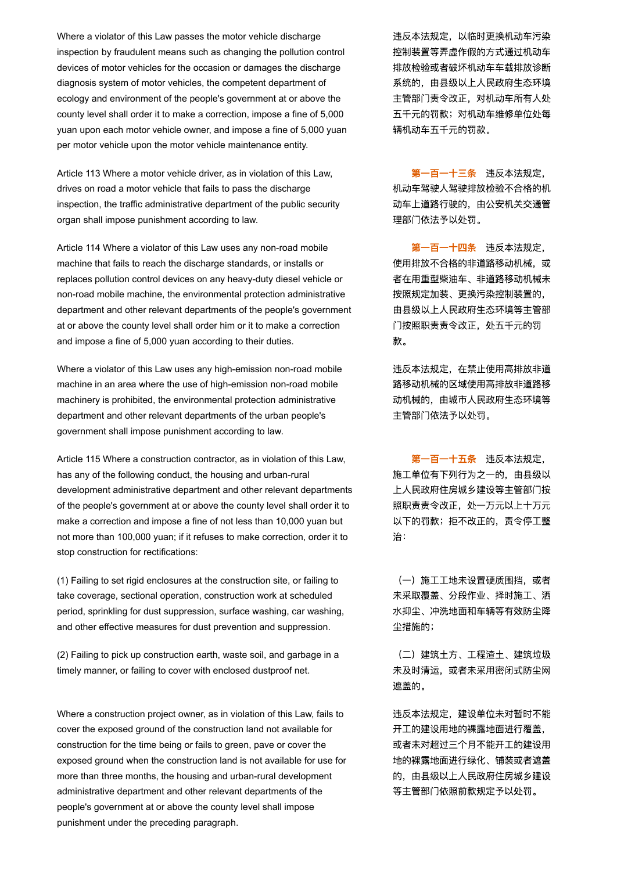Where a violator of this Law passes the motor vehicle discharge inspection by fraudulent means such as changing the pollution control devices of motor vehicles for the occasion or damages the discharge diagnosis system of motor vehicles, the competent department of ecology and environment of the people's government at or above the county level shall order it to make a correction, impose a fine of 5,000 yuan upon each motor vehicle owner, and impose a fine of 5,000 yuan per motor vehicle upon the motor vehicle maintenance entity.

Article 113 Where a motor vehicle driver, as in violation of this Law, drives on road a motor vehicle that fails to pass the discharge inspection, the traffic administrative department of the public security organ shall impose punishment according to law.

Article 114 Where a violator of this Law uses any non-road mobile machine that fails to reach the discharge standards, or installs or replaces pollution control devices on any heavy-duty diesel vehicle or non-road mobile machine, the environmental protection administrative department and other relevant departments of the people's government at or above the county level shall order him or it to make a correction and impose a fine of 5,000 yuan according to their duties.

Where a violator of this Law uses any high-emission non-road mobile machine in an area where the use of high-emission non-road mobile machinery is prohibited, the environmental protection administrative department and other relevant departments of the urban people's government shall impose punishment according to law.

Article 115 Where a construction contractor, as in violation of this Law, has any of the following conduct, the housing and urban-rural development administrative department and other relevant departments of the people's government at or above the county level shall order it to make a correction and impose a fine of not less than 10,000 yuan but not more than 100,000 yuan; if it refuses to make correction, order it to stop construction for rectifications:

(1) Failing to set rigid enclosures at the construction site, or failing to take coverage, sectional operation, construction work at scheduled period, sprinkling for dust suppression, surface washing, car washing, and other effective measures for dust prevention and suppression.

(2) Failing to pick up construction earth, waste soil, and garbage in a timely manner, or failing to cover with enclosed dustproof net.

Where a construction project owner, as in violation of this Law, fails to cover the exposed ground of the construction land not available for construction for the time being or fails to green, pave or cover the exposed ground when the construction land is not available for use for more than three months, the housing and urban-rural development administrative department and other relevant departments of the people's government at or above the county level shall impose punishment under the preceding paragraph.

违反本法规定,以临时更换机动车污染 控制装置等弄虚作假的方式通过机动车 排放检验或者破坏机动车车载排放诊断 系统的,由县级以上人民政府生态环境 主管部门责令改正,对机动车所有人处 五千元的罚款;对机动车维修单位处每 辆机动车五千元的罚款。

第一百一十三条 违反本法规定, 机动车驾驶人驾驶排放检验不合格的机 动车上道路行驶的,由公安机关交通管 理部门依法予以处罚。

第一百一十四条 违反本法规定, 使用排放不合格的非道路移动机械,或 者在用重型柴油车、非道路移动机械未 按照规定加装、更换污染控制装置的, 由县级以上人民政府生态环境等主管部 门按照职责责令改正,处五千元的罚 款。

违反本法规定,在禁止使用高排放非道 路移动机械的区域使用高排放非道路移 动机械的,由城市人民政府生态环境等 主管部门依法予以处罚。

第一百一十五条 违反本法规定, 施工单位有下列行为之一的,由县级以 上人民政府住房城乡建设等主管部门按 照职责责令改正,处一万元以上十万元 以下的罚款;拒不改正的,责令停工整 治:

(一) 施工工地未设置硬质围挡, 或者 未采取覆盖、分段作业、择时施工、洒 水抑尘、冲洗地面和车辆等有效防尘降 尘措施的;

(二)建筑土方、工程渣土、建筑垃圾 未及时清运,或者未采用密闭式防尘网 遮盖的。

违反本法规定,建设单位未对暂时不能 开工的建设用地的裸露地面进行覆盖, 或者未对超过三个月不能开工的建设用 地的裸露地面进行绿化、铺装或者遮盖 的,由县级以上人民政府住房城乡建设 等主管部门依照前款规定予以处罚。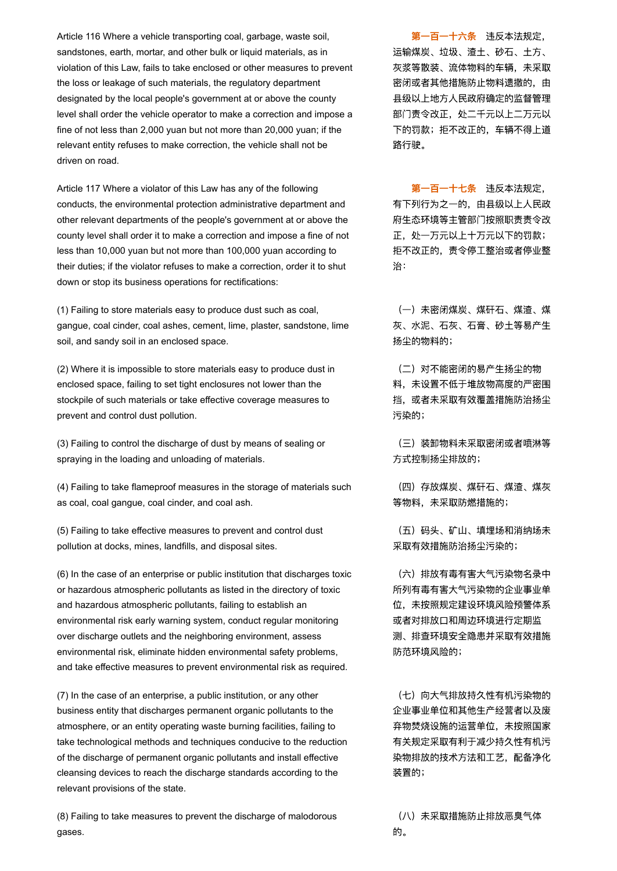Article 116 Where a vehicle transporting coal, garbage, waste soil, sandstones, earth, mortar, and other bulk or liquid materials, as in violation of this Law, fails to take enclosed or other measures to prevent the loss or leakage of such materials, the regulatory department designated by the local people's government at or above the county level shall order the vehicle operator to make a correction and impose a fine of not less than 2,000 yuan but not more than 20,000 yuan; if the relevant entity refuses to make correction, the vehicle shall not be driven on road.

Article 117 Where a violator of this Law has any of the following conducts, the environmental protection administrative department and other relevant departments of the people's government at or above the county level shall order it to make a correction and impose a fine of not less than 10,000 yuan but not more than 100,000 yuan according to their duties; if the violator refuses to make a correction, order it to shut down or stop its business operations for rectifications:

(1) Failing to store materials easy to produce dust such as coal, gangue, coal cinder, coal ashes, cement, lime, plaster, sandstone, lime soil, and sandy soil in an enclosed space.

(2) Where it is impossible to store materials easy to produce dust in enclosed space, failing to set tight enclosures not lower than the stockpile of such materials or take effective coverage measures to prevent and control dust pollution.

(3) Failing to control the discharge of dust by means of sealing or spraying in the loading and unloading of materials.

(4) Failing to take flameproof measures in the storage of materials such as coal, coal gangue, coal cinder, and coal ash.

(5) Failing to take effective measures to prevent and control dust pollution at docks, mines, landfills, and disposal sites.

(6) In the case of an enterprise or public institution that discharges toxic or hazardous atmospheric pollutants as listed in the directory of toxic and hazardous atmospheric pollutants, failing to establish an environmental risk early warning system, conduct regular monitoring over discharge outlets and the neighboring environment, assess environmental risk, eliminate hidden environmental safety problems, and take effective measures to prevent environmental risk as required.

(7) In the case of an enterprise, a public institution, or any other business entity that discharges permanent organic pollutants to the atmosphere, or an entity operating waste burning facilities, failing to take technological methods and techniques conducive to the reduction of the discharge of permanent organic pollutants and install effective cleansing devices to reach the discharge standards according to the relevant provisions of the state.

(8) Failing to take measures to prevent the discharge of malodorous gases.

第一百一十六条 违反本法规定, 运输煤炭、垃圾、渣土、砂石、土方、 灰浆等散装、流体物料的车辆,未采取 密闭或者其他措施防止物料遗撒的, 由 县级以上地方人民政府确定的监督管理 部门责令改正,处二千元以上二万元以 下的罚款;拒不改正的,车辆不得上道 路行驶。

第一百一十七条 违反本法规定, 有下列行为之一的,由县级以上人民政 府生态环境等主管部门按照职责责令改 正,处一万元以上十万元以下的罚款; 拒不改正的,责令停工整治或者停业整 治:

(一)未密闭煤炭、煤矸石、煤渣、煤 灰、水泥、石灰、石膏、砂土等易产生 扬尘的物料的;

(二)对不能密闭的易产生扬尘的物 料,未设置不低于堆放物高度的严密围 挡,或者未采取有效覆盖措施防治扬尘 污染的;

(三)装卸物料未采取密闭或者喷淋等 方式控制扬尘排放的;

(四)存放煤炭、煤矸石、煤渣、煤灰 等物料,未采取防燃措施的;

(五)码头、矿山、填埋场和消纳场未 采取有效措施防治扬尘污染的;

(六)排放有毒有害大气污染物名录中 所列有毒有害大气污染物的企业事业单 位,未按照规定建设环境风险预警体系 或者对排放口和周边环境进行定期监 测、排查环境安全隐患并采取有效措施 防范环境风险的;

(七)向大气排放持久性有机污染物的 企业事业单位和其他生产经营者以及废 弃物焚烧设施的运营单位,未按照国家 有关规定采取有利于减少持久性有机污 染物排放的技术方法和工艺,配备净化 装置的;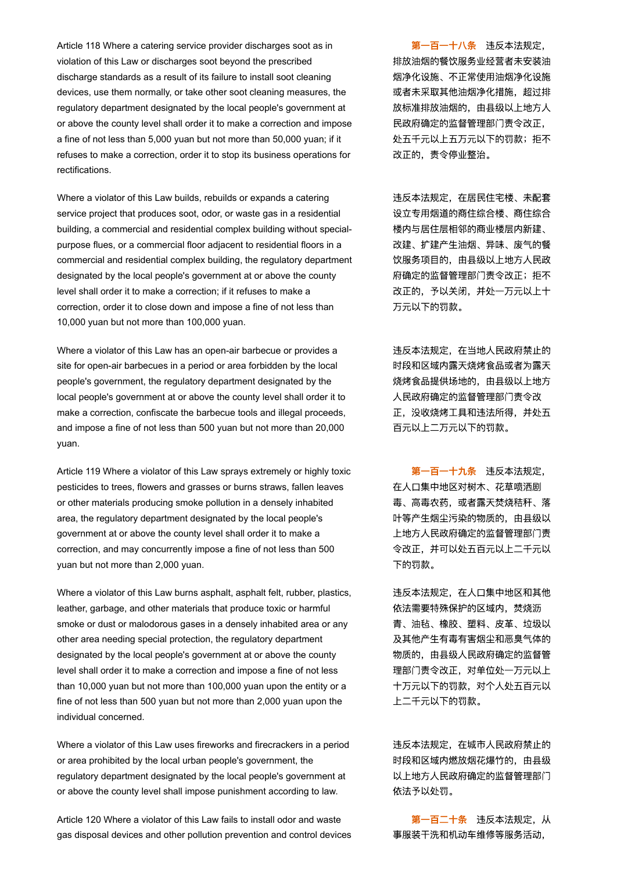Article 118 Where a catering service provider discharges soot as in violation of this Law or discharges soot beyond the prescribed discharge standards as a result of its failure to install soot cleaning devices, use them normally, or take other soot cleaning measures, the regulatory department designated by the local people's government at or above the county level shall order it to make a correction and impose a fine of not less than 5,000 yuan but not more than 50,000 yuan; if it refuses to make a correction, order it to stop its business operations for rectifications.

Where a violator of this Law builds, rebuilds or expands a catering service project that produces soot, odor, or waste gas in a residential building, a commercial and residential complex building without specialpurpose flues, or a commercial floor adjacent to residential floors in a commercial and residential complex building, the regulatory department designated by the local people's government at or above the county level shall order it to make a correction; if it refuses to make a correction, order it to close down and impose a fine of not less than 10,000 yuan but not more than 100,000 yuan.

Where a violator of this Law has an open-air barbecue or provides a site for open-air barbecues in a period or area forbidden by the local people's government, the regulatory department designated by the local people's government at or above the county level shall order it to make a correction, confiscate the barbecue tools and illegal proceeds, and impose a fine of not less than 500 yuan but not more than 20,000 yuan.

Article 119 Where a violator of this Law sprays extremely or highly toxic pesticides to trees, flowers and grasses or burns straws, fallen leaves or other materials producing smoke pollution in a densely inhabited area, the regulatory department designated by the local people's government at or above the county level shall order it to make a correction, and may concurrently impose a fine of not less than 500 yuan but not more than 2,000 yuan.

Where a violator of this Law burns asphalt, asphalt felt, rubber, plastics, leather, garbage, and other materials that produce toxic or harmful smoke or dust or malodorous gases in a densely inhabited area or any other area needing special protection, the regulatory department designated by the local people's government at or above the county level shall order it to make a correction and impose a fine of not less than 10,000 yuan but not more than 100,000 yuan upon the entity or a fine of not less than 500 yuan but not more than 2,000 yuan upon the individual concerned.

Where a violator of this Law uses fireworks and firecrackers in a period or area prohibited by the local urban people's government, the regulatory department designated by the local people's government at or above the county level shall impose punishment according to law.

Article 120 Where a violator of this Law fails to install odor and waste gas disposal devices and other pollution prevention and control devices

第一百一十八条 违反本法规定, 排放油烟的餐饮服务业经营者未安装油 烟净化设施、不正常使用油烟净化设施 或者未采取其他油烟净化措施,超过排 放标准排放油烟的,由县级以上地方人 民政府确定的监督管理部门责令改正, 处五千元以上五万元以下的罚款;拒不 改正的,责令停业整治。

违反本法规定,在居民住宅楼、未配套 设立专用烟道的商住综合楼、商住综合 楼内与居住层相邻的商业楼层内新建、 改建、扩建产生油烟、异味、废气的餐 饮服务项目的,由县级以上地方人民政 府确定的监督管理部门责令改正;拒不 改正的,予以关闭,并处一万元以上十 万元以下的罚款。

违反本法规定,在当地人民政府禁止的 时段和区域内露天烧烤食品或者为露天 烧烤食品提供场地的,由县级以上地方 人民政府确定的监督管理部门责令改 正,没收烧烤工具和违法所得,并处五 百元以上二万元以下的罚款。

第一百一十九条 违反本法规定, 在人口集中地区对树木、花草喷洒剧 毒、高毒农药,或者露天焚烧秸秆、落 叶等产生烟尘污染的物质的,由县级以 上地方人民政府确定的监督管理部门责 令改正,并可以处五百元以上二千元以 下的罚款。

违反本法规定,在人口集中地区和其他 依法需要特殊保护的区域内,焚烧沥 青、油毡、橡胶、塑料、皮革、垃圾以 及其他产生有毒有害烟尘和恶臭气体的 物质的,由县级人民政府确定的监督管 理部门责令改正,对单位处一万元以上 十万元以下的罚款,对个人处五百元以 上二千元以下的罚款。

违反本法规定,在城市人民政府禁止的 时段和区域内燃放烟花爆竹的,由县级 以上地方人民政府确定的监督管理部门 依法予以处罚。

第一百二十条 违反本法规定, 从 事服装干洗和机动车维修等服务活动,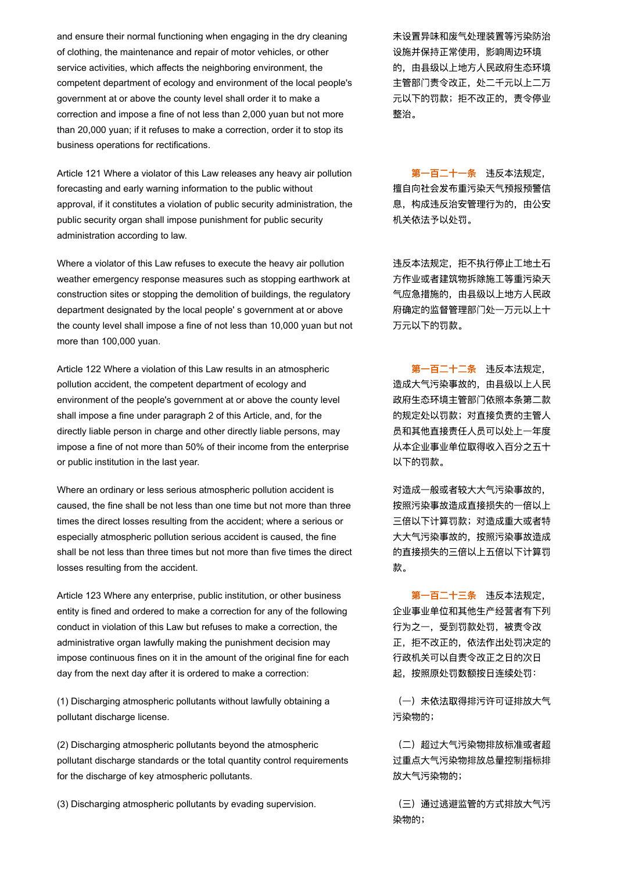and ensure their normal functioning when engaging in the dry cleaning of clothing, the maintenance and repair of motor vehicles, or other service activities, which affects the neighboring environment, the competent department of ecology and environment of the local people's government at or above the county level shall order it to make a correction and impose a fine of not less than 2,000 yuan but not more than 20,000 yuan; if it refuses to make a correction, order it to stop its business operations for rectifications.

Article 121 Where a violator of this Law releases any heavy air pollution forecasting and early warning information to the public without approval, if it constitutes a violation of public security administration, the public security organ shall impose punishment for public security administration according to law.

Where a violator of this Law refuses to execute the heavy air pollution weather emergency response measures such as stopping earthwork at construction sites or stopping the demolition of buildings, the regulatory department designated by the local people' s government at or above the county level shall impose a fine of not less than 10,000 yuan but not more than 100,000 yuan.

Article 122 Where a violation of this Law results in an atmospheric pollution accident, the competent department of ecology and environment of the people's government at or above the county level shall impose a fine under paragraph 2 of this Article, and, for the directly liable person in charge and other directly liable persons, may impose a fine of not more than 50% of their income from the enterprise or public institution in the last year.

Where an ordinary or less serious atmospheric pollution accident is caused, the fine shall be not less than one time but not more than three times the direct losses resulting from the accident; where a serious or especially atmospheric pollution serious accident is caused, the fine shall be not less than three times but not more than five times the direct losses resulting from the accident.

Article 123 Where any enterprise, public institution, or other business entity is fined and ordered to make a correction for any of the following conduct in violation of this Law but refuses to make a correction, the administrative organ lawfully making the punishment decision may impose continuous fines on it in the amount of the original fine for each day from the next day after it is ordered to make a correction:

(1) Discharging atmospheric pollutants without lawfully obtaining a pollutant discharge license.

(2) Discharging atmospheric pollutants beyond the atmospheric pollutant discharge standards or the total quantity control requirements for the discharge of key atmospheric pollutants.

(3) Discharging atmospheric pollutants by evading supervision. (三)通过逃避监管的方式排放大气污

未设置异味和废气处理装置等污染防治 设施并保持正常使用,影响周边环境 的,由县级以上地方人民政府生态环境 主管部门责令改正,处二千元以上二万 元以下的罚款;拒不改正的,责令停业 整治。

第一百二十一条 违反本法规定, 擅自向社会发布重污染天气预报预警信 息,构成违反治安管理行为的,由公安 机关依法予以处罚。

违反本法规定,拒不执行停止工地土石 方作业或者建筑物拆除施工等重污染天 气应急措施的,由县级以上地方人民政 府确定的监督管理部门处一万元以上十 万元以下的罚款。

第一百二十二条 违反本法规定, 造成大气污染事故的,由县级以上人民 政府生态环境主管部门依照本条第二款 的规定处以罚款;对直接负责的主管人 员和其他直接责任人员可以处上一年度 从本企业事业单位取得收入百分之五十 以下的罚款。

对造成一般或者较大大气污染事故的, 按照污染事故造成直接损失的一倍以上 三倍以下计算罚款;对造成重大或者特 大大气污染事故的,按照污染事故造成 的直接损失的三倍以上五倍以下计算罚 款。

第一百二十三条 违反本法规定, 企业事业单位和其他生产经营者有下列 行为之一,受到罚款处罚,被责令改 正,拒不改正的,依法作出处罚决定的 行政机关可以自责令改正之日的次日 起,按照原处罚数额按日连续处罚:

(一)未依法取得排污许可证排放大气 污染物的;

(二)超过大气污染物排放标准或者超 过重点大气污染物排放总量控制指标排 放大气污染物的;

染物的;